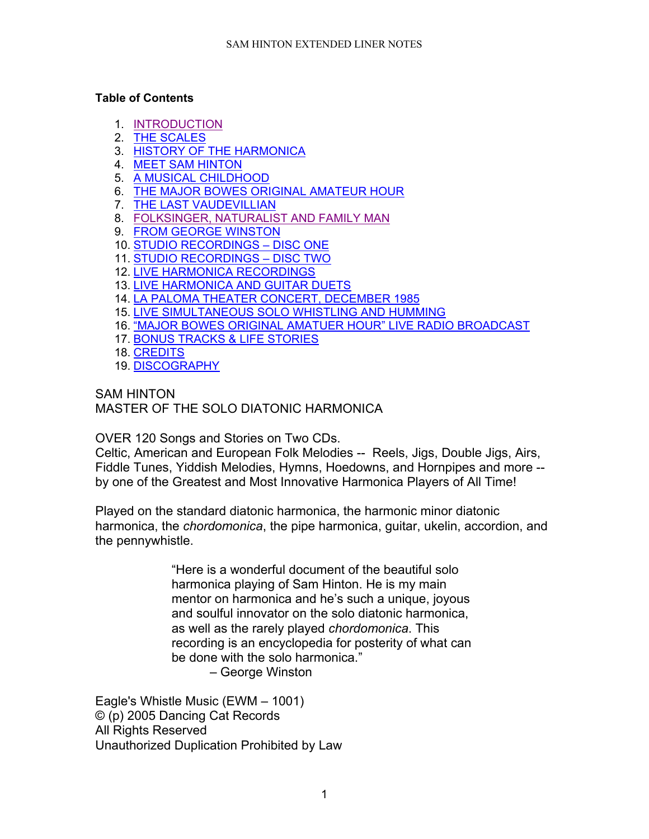#### **Table of Contents**

- 1. [INTRODUCTION](#page-1-0)
- 2. [THE SCALES](#page-1-1)
- 3. [HISTORY OF THE HARMONICA](#page-2-0)
- 4. [MEET SAM HINTON](#page-6-0)
- 5. [A MUSICAL CHILDHOOD](#page-8-0)
- 6. [THE MAJOR BOWES ORIGINAL AMATEUR HOUR](#page-10-0)
- 7. [THE LAST VAUDEVILLIAN](#page-12-0)
- 8. [FOLKSINGER, NATURALIST AND FAMILY MAN](#page-13-0)
- 9. [FROM GEORGE WINSTON](#page-14-0)
- 10. [STUDIO RECORDINGS –](#page-15-0) DISC ONE
- 11. [STUDIO RECORDINGS –](#page-23-0) DISC TWO
- 12. [LIVE HARMONICA RECORDINGS](#page-24-0)
- 13. [LIVE HARMONICA AND GUITAR DUETS](#page-27-0)
- 14. [LA PALOMA THEATER CONCERT, DECEMBER 1985](#page-28-0)
- 15. [LIVE SIMULTANEOUS SOLO WHISTLING AND HUMMING](#page-29-0)
- 16. ["MAJOR BOWES ORIGINAL AMATUER HOUR" LIVE RADIO BROADCAST](#page-29-1)
- 17. [BONUS TRACKS & LIFE STORIES](#page-30-0)
- 18. [CREDITS](#page-31-0)
- 19. [DISCOGRAPHY](#page-31-1)

### SAM HINTON

MASTER OF THE SOLO DIATONIC HARMONICA

OVER 120 Songs and Stories on Two CDs.

Celtic, American and European Folk Melodies -- Reels, Jigs, Double Jigs, Airs, Fiddle Tunes, Yiddish Melodies, Hymns, Hoedowns, and Hornpipes and more - by one of the Greatest and Most Innovative Harmonica Players of All Time!

Played on the standard diatonic harmonica, the harmonic minor diatonic harmonica, the *chordomonica*, the pipe harmonica, guitar, ukelin, accordion, and the pennywhistle.

> "Here is a wonderful document of the beautiful solo harmonica playing of Sam Hinton. He is my main mentor on harmonica and he's such a unique, joyous and soulful innovator on the solo diatonic harmonica, as well as the rarely played *chordomonica*. This recording is an encyclopedia for posterity of what can be done with the solo harmonica."

– George Winston

Eagle's Whistle Music (EWM – 1001) © (p) 2005 Dancing Cat Records All Rights Reserved Unauthorized Duplication Prohibited by Law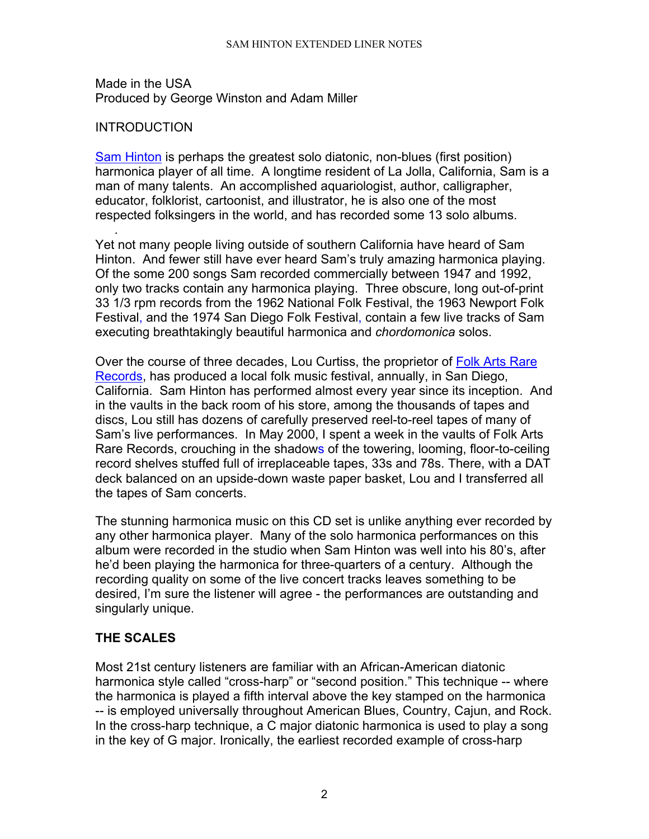#### SAM HINTON EXTENDED LINER NOTES

Made in the USA Produced by George Winston and Adam Miller

## <span id="page-1-0"></span>**INTRODUCTION**

[Sam Hinton](http://www.samhinton.org/) is perhaps the greatest solo diatonic, non-blues (first position) harmonica player of all time. A longtime resident of La Jolla, California, Sam is a man of many talents. An accomplished aquariologist, author, calligrapher, educator, folklorist, cartoonist, and illustrator, he is also one of the most respected folksingers in the world, and has recorded some 13 solo albums.

. Yet not many people living outside of southern California have heard of Sam Hinton. And fewer still have ever heard Sam's truly amazing harmonica playing. Of the some 200 songs Sam recorded commercially between 1947 and 1992, only two tracks contain any harmonica playing. Three obscure, long out-of-print 33 1/3 rpm records from the 1962 National Folk Festival, the 1963 Newport Folk Festival, and the 1974 San Diego Folk Festival, contain a few live tracks of Sam executing breathtakingly beautiful harmonica and *chordomonica* solos.

Over the course of three decades, Lou Curtiss, the proprietor of Folk Arts Rare [Records,](http://www.gothere.org/ShowBusiness.asp?IdNum=15) has produced a local folk music festival, annually, in San Diego, California. Sam Hinton has performed almost every year since its inception. And in the vaults in the back room of his store, among the thousands of tapes and discs, Lou still has dozens of carefully preserved reel-to-reel tapes of many of Sam's live performances. In May 2000, I spent a week in the vaults of Folk Arts Rare Records, crouching in the shadows of the towering, looming, floor-to-ceiling record shelves stuffed full of irreplaceable tapes, 33s and 78s. There, with a DAT deck balanced on an upside-down waste paper basket, Lou and I transferred all the tapes of Sam concerts.

The stunning harmonica music on this CD set is unlike anything ever recorded by any other harmonica player. Many of the solo harmonica performances on this album were recorded in the studio when Sam Hinton was well into his 80's, after he'd been playing the harmonica for three-quarters of a century. Although the recording quality on some of the live concert tracks leaves something to be desired, I'm sure the listener will agree - the performances are outstanding and singularly unique.

# <span id="page-1-1"></span>**THE SCALES**

Most 21st century listeners are familiar with an African-American diatonic harmonica style called "cross-harp" or "second position." This technique -- where the harmonica is played a fifth interval above the key stamped on the harmonica -- is employed universally throughout American Blues, Country, Cajun, and Rock. In the cross-harp technique, a C major diatonic harmonica is used to play a song in the key of G major. Ironically, the earliest recorded example of cross-harp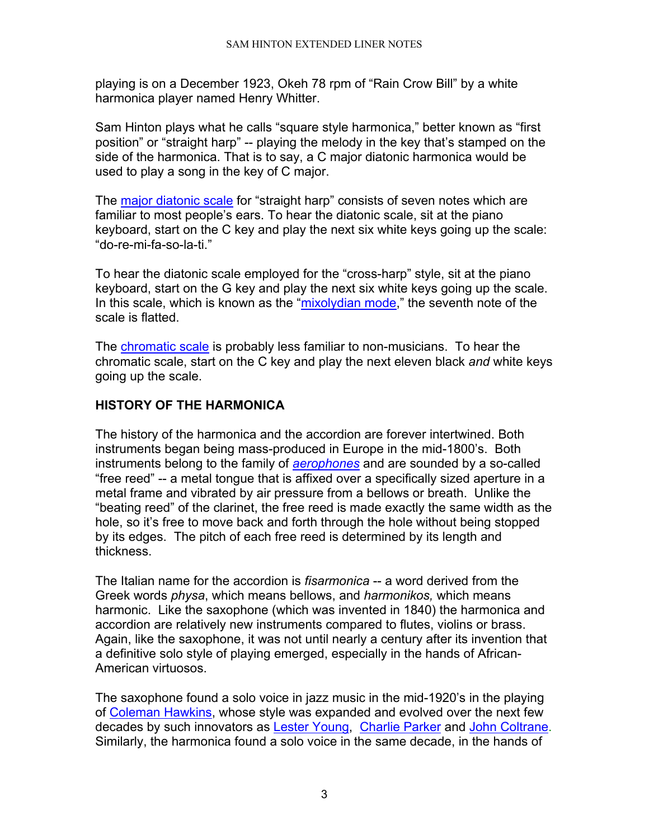playing is on a December 1923, Okeh 78 rpm of "Rain Crow Bill" by a white harmonica player named Henry Whitter.

Sam Hinton plays what he calls "square style harmonica," better known as "first position" or "straight harp" -- playing the melody in the key that's stamped on the side of the harmonica. That is to say, a C major diatonic harmonica would be used to play a song in the key of C major.

The [major diatonic scale](http://www.andymilne.dial.pipex.com/Diatonic.shtml) for "straight harp" consists of seven notes which are familiar to most people's ears. To hear the diatonic scale, sit at the piano keyboard, start on the C key and play the next six white keys going up the scale: "do-re-mi-fa-so-la-ti."

To hear the diatonic scale employed for the "cross-harp" style, sit at the piano keyboard, start on the G key and play the next six white keys going up the scale. In this scale, which is known as the ["mixolydian mode,](http://chrisjuergensen.com.hosting.domaindirect.com/modes_4_mixolydian.htm)" the seventh note of the scale is flatted.

The [chromatic scale](http://www.songtrellis.com/soundstor/12tonede.mid) is probably less familiar to non-musicians. To hear the chromatic scale, start on the C key and play the next eleven black *and* white keys going up the scale.

# <span id="page-2-0"></span>**HISTORY OF THE HARMONICA**

The history of the harmonica and the accordion are forever intertwined. Both instruments began being mass-produced in Europe in the mid-1800's. Both instruments belong to the family of *[aerophones](http://www.geidai.ac.jp/%7Eodaka/gcat/english/aerophones.html)* and are sounded by a so-called "free reed" -- a metal tongue that is affixed over a specifically sized aperture in a metal frame and vibrated by air pressure from a bellows or breath. Unlike the "beating reed" of the clarinet, the free reed is made exactly the same width as the hole, so it's free to move back and forth through the hole without being stopped by its edges. The pitch of each free reed is determined by its length and thickness.

The Italian name for the accordion is *fisarmonica* -- a word derived from the Greek words *physa*, which means bellows, and *harmonikos,* which means harmonic. Like the saxophone (which was invented in 1840) the harmonica and accordion are relatively new instruments compared to flutes, violins or brass. Again, like the saxophone, it was not until nearly a century after its invention that a definitive solo style of playing emerged, especially in the hands of African-American virtuosos.

The saxophone found a solo voice in jazz music in the mid-1920's in the playing of [Coleman Hawkins,](http://www.answers.com/topic/coleman-hawkins) whose style was expanded and evolved over the next few decades by such innovators as [Lester Young,](http://www.answers.com/Lester%20Young) [Charlie Parker](http://www.answers.com/topic/charlie-parker) and [John Coltrane.](http://www.answers.com/john%20coltrane) Similarly, the harmonica found a solo voice in the same decade, in the hands of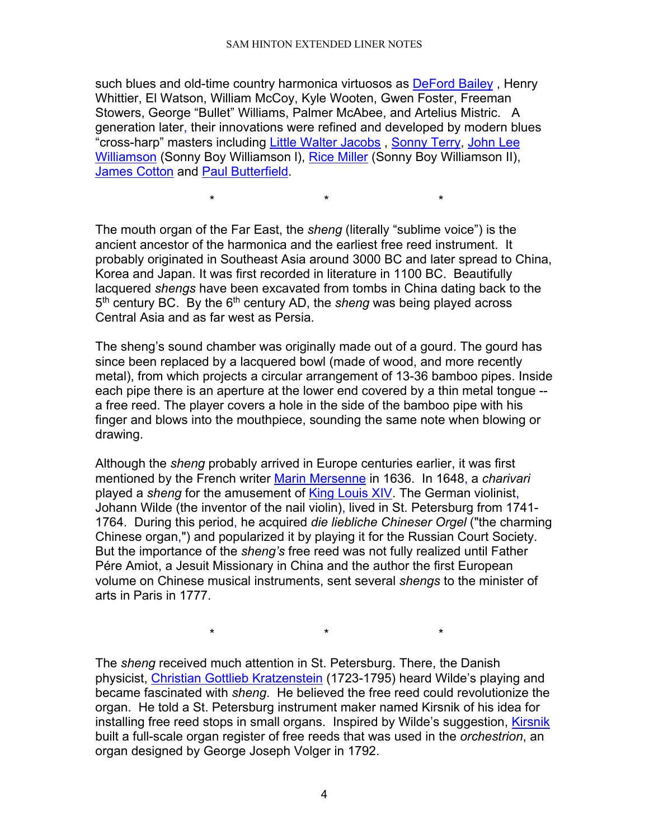such blues and old-time country harmonica virtuosos as [DeFord Bailey](http://www.pbs.org/deford/), Henry Whittier, El Watson, William McCoy, Kyle Wooten, Gwen Foster, Freeman Stowers, George "Bullet" Williams, Palmer McAbee, and Artelius Mistric. A generation later, their innovations were refined and developed by modern blues "cross-harp" masters including [Little Walter Jacobs](http://www.island.net/%7Eblues/little_w.html) , [Sonny Terry,](http://www.alligator.com/artists/bio.cfm?artistid=060) [John Lee](http://www.factmonster.com/ipka/A0780961.html)  [Williamson](http://www.factmonster.com/ipka/A0780961.html) (Sonny Boy Williamson l), [Rice Miller](http://www.sonnyboy.com/) (Sonny Boy Williamson II), [James Cotton](http://www.alligator.com/artists/bio.cfm?ArtistID=009) and [Paul Butterfield.](http://www.island.net/%7Eblues/butter.html)

The mouth organ of the Far East, the *sheng* (literally "sublime voice") is the ancient ancestor of the harmonica and the earliest free reed instrument. It probably originated in Southeast Asia around 3000 BC and later spread to China, Korea and Japan. It was first recorded in literature in 1100 BC. Beautifully lacquered *shengs* have been excavated from tombs in China dating back to the 5<sup>th</sup> century BC. By the 6<sup>th</sup> century AD, the *sheng* was being played across Central Asia and as far west as Persia.

\* \* \*

The sheng's sound chamber was originally made out of a gourd. The gourd has since been replaced by a lacquered bowl (made of wood, and more recently metal), from which projects a circular arrangement of 13-36 bamboo pipes. Inside each pipe there is an aperture at the lower end covered by a thin metal tongue - a free reed. The player covers a hole in the side of the bamboo pipe with his finger and blows into the mouthpiece, sounding the same note when blowing or drawing.

Although the *sheng* probably arrived in Europe centuries earlier, it was first mentioned by the French writer [Marin Mersenne](http://www.andrews.edu/%7Ecalkins/math/biograph/biomerse.htm) in 1636. In 1648, a *charivari* played a *sheng* for the amusement of [King Louis XIV.](http://www.royalty.nu/Europe/France/LouisXIV.html) The German violinist, Johann Wilde (the inventor of the nail violin), lived in St. Petersburg from 1741- 1764. During this period, he acquired *die liebliche Chineser Orgel* ("the charming Chinese organ,") and popularized it by playing it for the Russian Court Society. But the importance of the *sheng's* free reed was not fully realized until Father Pére Amiot, a Jesuit Missionary in China and the author the first European volume on Chinese musical instruments, sent several *shengs* to the minister of arts in Paris in 1777.

The *sheng* received much attention in St. Petersburg. There, the Danish physicist, [Christian Gottlieb Kratzenstein](ttp://www.ivh.au.dk/kollokvier/susan_splinter_06_05_04.dk.html) (1723-1795) heard Wilde's playing and became fascinated with *sheng*. He believed the free reed could revolutionize the organ. He told a St. Petersburg instrument maker named Kirsnik of his idea for installing free reed stops in small organs. Inspired by Wilde's suggestion, [Kirsnik](http://www.ksanti.net/free-reed/history/birth.html) built a full-scale organ register of free reeds that was used in the *orchestrion*, an organ designed by George Joseph Volger in 1792.

\* \* \*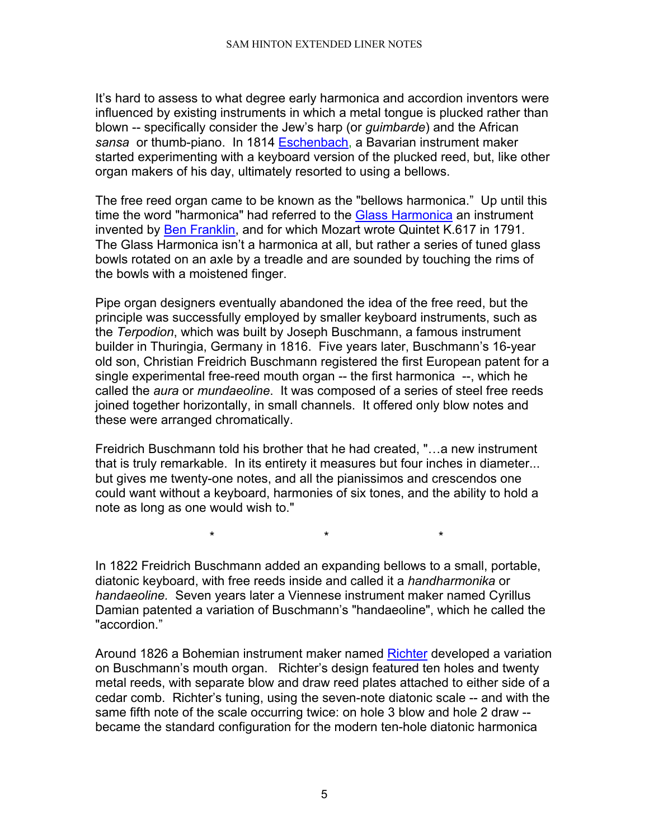It's hard to assess to what degree early harmonica and accordion inventors were influenced by existing instruments in which a metal tongue is plucked rather than blown -- specifically consider the Jew's harp (or *guimbarde*) and the African *sansa* or thumb-piano. In 1814 [Eschenbach,](http://www.musicofyesterday.com/DesktopDefault.aspx?tabindex=53&tabid=134&itemid=1875) a Bavarian instrument maker started experimenting with a keyboard version of the plucked reed, but, like other organ makers of his day, ultimately resorted to using a bellows.

The free reed organ came to be known as the "bellows harmonica." Up until this time the word "harmonica" had referred to the [Glass Harmonica](http://www.finkenbeiner.com/gh.html) an instrument invented by [Ben Franklin,](http://www.english.udel.edu/lemay/franklin/) and for which Mozart wrote Quintet K.617 in 1791. The Glass Harmonica isn't a harmonica at all, but rather a series of tuned glass bowls rotated on an axle by a treadle and are sounded by touching the rims of the bowls with a moistened finger.

Pipe organ designers eventually abandoned the idea of the free reed, but the principle was successfully employed by smaller keyboard instruments, such as the *Terpodion*, which was built by Joseph Buschmann, a famous instrument builder in Thuringia, Germany in 1816. Five years later, Buschmann's 16-year old son, Christian Freidrich Buschmann registered the first European patent for a single experimental free-reed mouth organ -- the first harmonica --, which he called the *aura* or *mundaeoline*. It was composed of a series of steel free reeds joined together horizontally, in small channels. It offered only blow notes and these were arranged chromatically.

Freidrich Buschmann told his brother that he had created, "…a new instrument that is truly remarkable. In its entirety it measures but four inches in diameter... but gives me twenty-one notes, and all the pianissimos and crescendos one could want without a keyboard, harmonies of six tones, and the ability to hold a note as long as one would wish to."

\* \* \* In 1822 Freidrich Buschmann added an expanding bellows to a small, portable, diatonic keyboard, with free reeds inside and called it a *handharmonika* or *handaeoline.* Seven years later a Viennese instrument maker named Cyrillus Damian patented a variation of Buschmann's "handaeoline", which he called the

"accordion."

Around 1826 a Bohemian instrument maker named [Richter](http://www.patmissin.com/ffaq/q36.html) developed a variation on Buschmann's mouth organ. Richter's design featured ten holes and twenty metal reeds, with separate blow and draw reed plates attached to either side of a cedar comb. Richter's tuning, using the seven-note diatonic scale -- and with the same fifth note of the scale occurring twice: on hole 3 blow and hole 2 draw - became the standard configuration for the modern ten-hole diatonic harmonica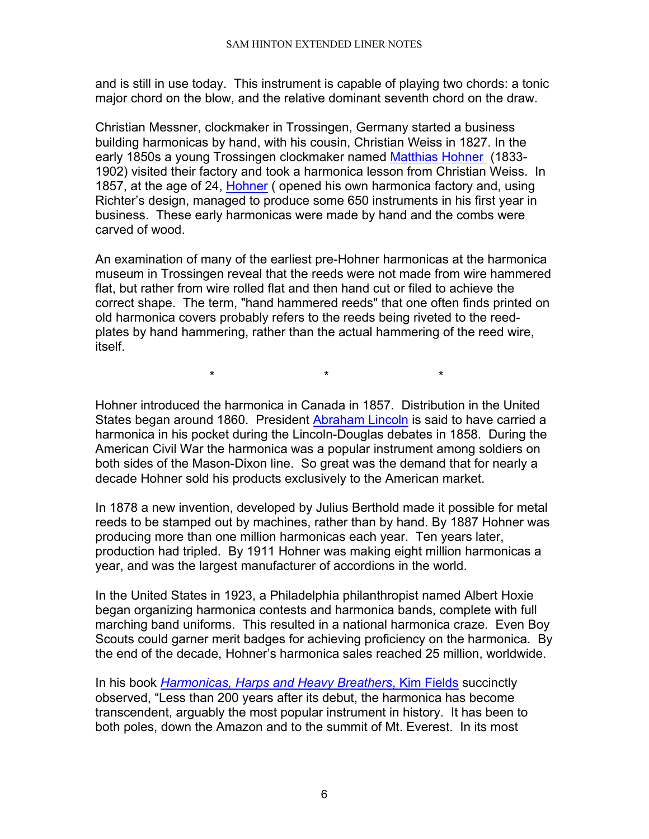and is still in use today. This instrument is capable of playing two chords: a tonic major chord on the blow, and the relative dominant seventh chord on the draw.

Christian Messner, clockmaker in Trossingen, Germany started a business building harmonicas by hand, with his cousin, Christian Weiss in 1827. In the early 1850s a young Trossingen clockmaker named [Matthias Hohner](http://www.hohnerusa.com/ahistory.htm) (1833- 1902) visited their factory and took a harmonica lesson from Christian Weiss. In 1857, at the age of 24, [Hohner](http://www.hohnerusa.com/ahistory.htm) ( opened his own harmonica factory and, using Richter's design, managed to produce some 650 instruments in his first year in business. These early harmonicas were made by hand and the combs were carved of wood.

An examination of many of the earliest pre-Hohner harmonicas at the harmonica museum in Trossingen reveal that the reeds were not made from wire hammered flat, but rather from wire rolled flat and then hand cut or filed to achieve the correct shape. The term, "hand hammered reeds" that one often finds printed on old harmonica covers probably refers to the reeds being riveted to the reedplates by hand hammering, rather than the actual hammering of the reed wire, itself.

\* \* \*

Hohner introduced the harmonica in Canada in 1857. Distribution in the United States began around 1860. President [Abraham Lincoln](http://www.whitehouse.gov/history/presidents/al16.html) is said to have carried a harmonica in his pocket during the Lincoln-Douglas debates in 1858. During the American Civil War the harmonica was a popular instrument among soldiers on both sides of the Mason-Dixon line. So great was the demand that for nearly a decade Hohner sold his products exclusively to the American market.

In 1878 a new invention, developed by Julius Berthold made it possible for metal reeds to be stamped out by machines, rather than by hand. By 1887 Hohner was producing more than one million harmonicas each year. Ten years later, production had tripled. By 1911 Hohner was making eight million harmonicas a year, and was the largest manufacturer of accordions in the world.

In the United States in 1923, a Philadelphia philanthropist named Albert Hoxie began organizing harmonica contests and harmonica bands, complete with full marching band uniforms. This resulted in a national harmonica craze. Even Boy Scouts could garner merit badges for achieving proficiency on the harmonica. By the end of the decade, Hohner's harmonica sales reached 25 million, worldwide.

In his book *[Harmonicas, Harps and Heavy Breathers](http://www.howlinwolf.com/articles/kim_field/kim_field.htm)*, Kim Fields succinctly observed, "Less than 200 years after its debut, the harmonica has become transcendent, arguably the most popular instrument in history. It has been to both poles, down the Amazon and to the summit of Mt. Everest. In its most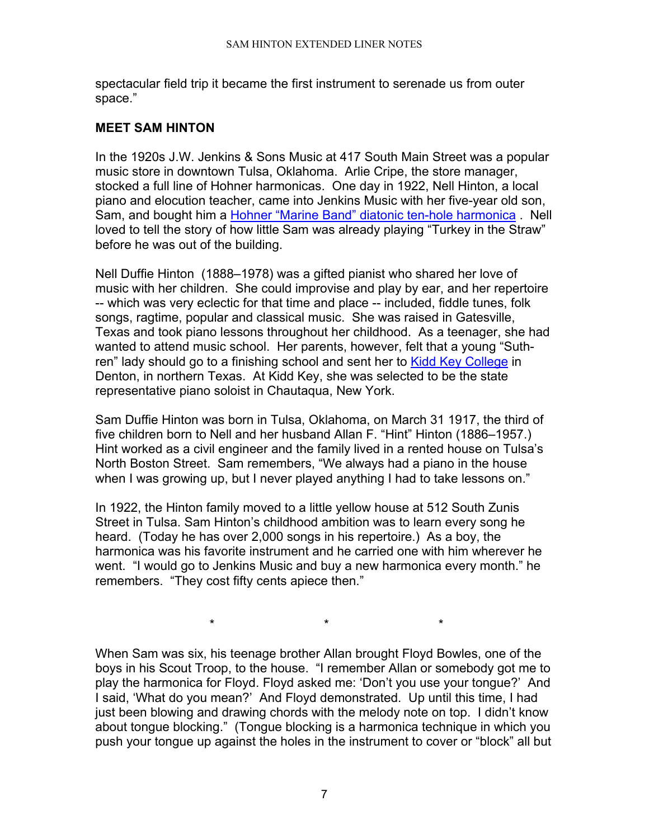spectacular field trip it became the first instrument to serenade us from outer space."

## <span id="page-6-0"></span>**MEET SAM HINTON**

In the 1920s J.W. Jenkins & Sons Music at 417 South Main Street was a popular music store in downtown Tulsa, Oklahoma. Arlie Cripe, the store manager, stocked a full line of Hohner harmonicas. One day in 1922, Nell Hinton, a local piano and elocution teacher, came into Jenkins Music with her five-year old son, Sam, and bought him a [Hohner "Marine Band" diatonic ten-hole harmonica](http://www.hohnerusa.com/hdiatonic.htm) . Nell loved to tell the story of how little Sam was already playing "Turkey in the Straw" before he was out of the building.

Nell Duffie Hinton (1888–1978) was a gifted pianist who shared her love of music with her children. She could improvise and play by ear, and her repertoire -- which was very eclectic for that time and place -- included, fiddle tunes, folk songs, ragtime, popular and classical music. She was raised in Gatesville, Texas and took piano lessons throughout her childhood. As a teenager, she had wanted to attend music school. Her parents, however, felt that a young "Suthren" lady should go to a finishing school and sent her to [Kidd Key College](http://www.tsha.utexas.edu/handbook/online/articles/view/KK/kbk2.html) in Denton, in northern Texas. At Kidd Key, she was selected to be the state representative piano soloist in Chautaqua, New York.

Sam Duffie Hinton was born in Tulsa, Oklahoma, on March 31 1917, the third of five children born to Nell and her husband Allan F. "Hint" Hinton (1886–1957.) Hint worked as a civil engineer and the family lived in a rented house on Tulsa's North Boston Street. Sam remembers, "We always had a piano in the house when I was growing up, but I never played anything I had to take lessons on."

In 1922, the Hinton family moved to a little yellow house at 512 South Zunis Street in Tulsa. Sam Hinton's childhood ambition was to learn every song he heard. (Today he has over 2,000 songs in his repertoire.) As a boy, the harmonica was his favorite instrument and he carried one with him wherever he went. "I would go to Jenkins Music and buy a new harmonica every month." he remembers. "They cost fifty cents apiece then."

When Sam was six, his teenage brother Allan brought Floyd Bowles, one of the boys in his Scout Troop, to the house. "I remember Allan or somebody got me to play the harmonica for Floyd. Floyd asked me: 'Don't you use your tongue?' And I said, 'What do you mean?' And Floyd demonstrated. Up until this time, I had just been blowing and drawing chords with the melody note on top. I didn't know about tongue blocking." (Tongue blocking is a harmonica technique in which you push your tongue up against the holes in the instrument to cover or "block" all but

\* \* \*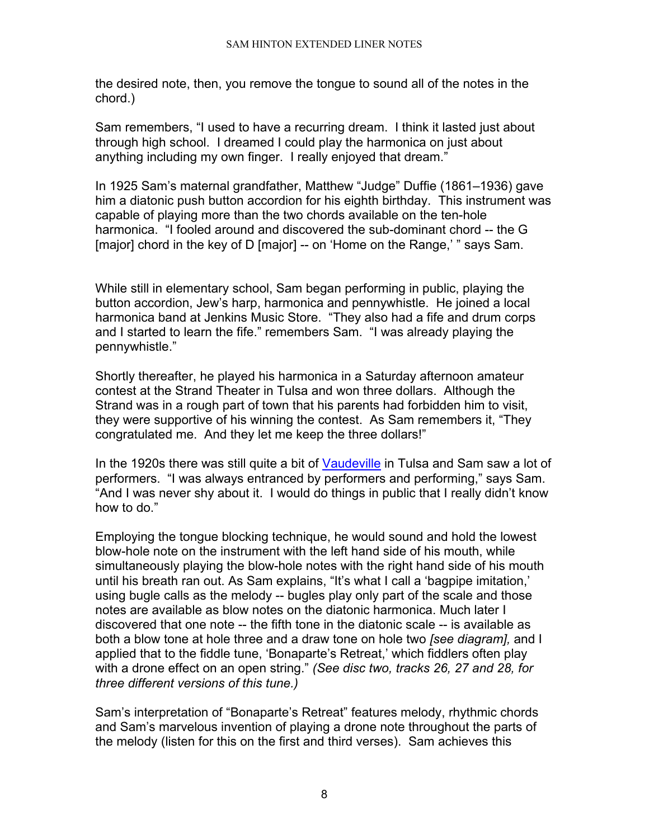the desired note, then, you remove the tongue to sound all of the notes in the chord.)

Sam remembers, "I used to have a recurring dream. I think it lasted just about through high school. I dreamed I could play the harmonica on just about anything including my own finger. I really enjoyed that dream."

In 1925 Sam's maternal grandfather, Matthew "Judge" Duffie (1861–1936) gave him a diatonic push button accordion for his eighth birthday. This instrument was capable of playing more than the two chords available on the ten-hole harmonica. "I fooled around and discovered the sub-dominant chord -- the G [major] chord in the key of D [major] -- on 'Home on the Range,' " says Sam.

While still in elementary school, Sam began performing in public, playing the button accordion, Jew's harp, harmonica and pennywhistle. He joined a local harmonica band at Jenkins Music Store. "They also had a fife and drum corps and I started to learn the fife." remembers Sam. "I was already playing the pennywhistle."

Shortly thereafter, he played his harmonica in a Saturday afternoon amateur contest at the Strand Theater in Tulsa and won three dollars. Although the Strand was in a rough part of town that his parents had forbidden him to visit, they were supportive of his winning the contest. As Sam remembers it, "They congratulated me. And they let me keep the three dollars!"

In the 1920s there was still quite a bit of [Vaudeville](http://english.cla.umn.edu/GraduateProfiles/KSurkan/4403/ville.html) in Tulsa and Sam saw a lot of performers. "I was always entranced by performers and performing," says Sam. "And I was never shy about it. I would do things in public that I really didn't know how to do."

Employing the tongue blocking technique, he would sound and hold the lowest blow-hole note on the instrument with the left hand side of his mouth, while simultaneously playing the blow-hole notes with the right hand side of his mouth until his breath ran out. As Sam explains, "It's what I call a 'bagpipe imitation,' using bugle calls as the melody -- bugles play only part of the scale and those notes are available as blow notes on the diatonic harmonica. Much later I discovered that one note -- the fifth tone in the diatonic scale -- is available as both a blow tone at hole three and a draw tone on hole two *[see diagram],* and I applied that to the fiddle tune, 'Bonaparte's Retreat,' which fiddlers often play with a drone effect on an open string." *(See disc two, tracks 26, 27 and 28, for three different versions of this tune.)*

Sam's interpretation of "Bonaparte's Retreat" features melody, rhythmic chords and Sam's marvelous invention of playing a drone note throughout the parts of the melody (listen for this on the first and third verses). Sam achieves this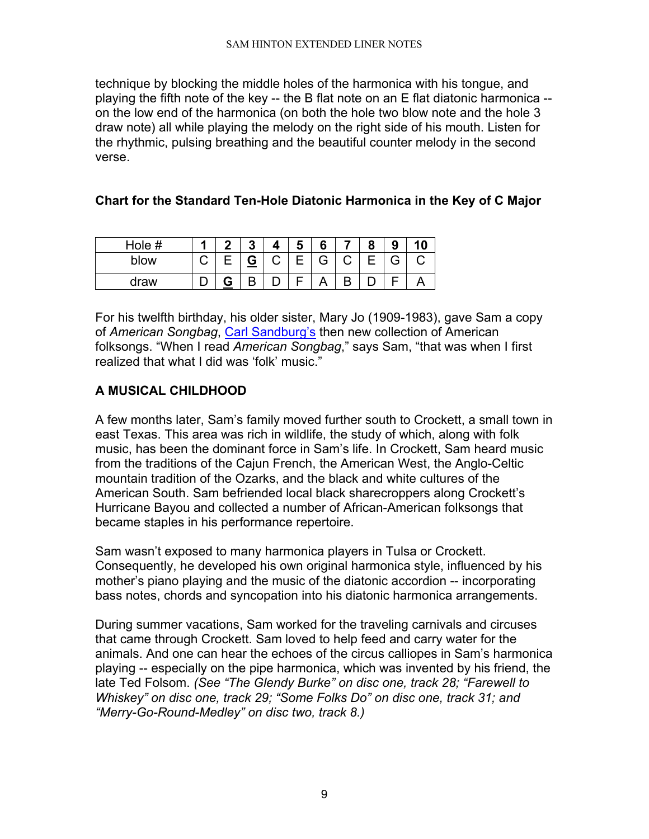technique by blocking the middle holes of the harmonica with his tongue, and playing the fifth note of the key -- the B flat note on an E flat diatonic harmonica - on the low end of the harmonica (on both the hole two blow note and the hole 3 draw note) all while playing the melody on the right side of his mouth. Listen for the rhythmic, pulsing breathing and the beautiful counter melody in the second verse.

# **Chart for the Standard Ten-Hole Diatonic Harmonica in the Key of C Major**

| Hole # | л | o | $\boldsymbol{\Lambda}$ | Ð | 6 | о | 9 |  |
|--------|---|---|------------------------|---|---|---|---|--|
| blow   | ٮ | G | ⌒                      |   | G |   | ີ |  |
| draw   |   | D |                        |   |   |   |   |  |

For his twelfth birthday, his older sister, Mary Jo (1909-1983), gave Sam a copy of *American Songbag*, [Carl Sandburg's](http://www.kirjasto.sci.fi/sandburg.htm) then new collection of American folksongs. "When I read *American Songbag*," says Sam, "that was when I first realized that what I did was 'folk' music."

# <span id="page-8-0"></span>**A MUSICAL CHILDHOOD**

A few months later, Sam's family moved further south to Crockett, a small town in east Texas. This area was rich in wildlife, the study of which, along with folk music, has been the dominant force in Sam's life. In Crockett, Sam heard music from the traditions of the Cajun French, the American West, the Anglo-Celtic mountain tradition of the Ozarks, and the black and white cultures of the American South. Sam befriended local black sharecroppers along Crockett's Hurricane Bayou and collected a number of African-American folksongs that became staples in his performance repertoire.

Sam wasn't exposed to many harmonica players in Tulsa or Crockett. Consequently, he developed his own original harmonica style, influenced by his mother's piano playing and the music of the diatonic accordion -- incorporating bass notes, chords and syncopation into his diatonic harmonica arrangements.

During summer vacations, Sam worked for the traveling carnivals and circuses that came through Crockett. Sam loved to help feed and carry water for the animals. And one can hear the echoes of the circus calliopes in Sam's harmonica playing -- especially on the pipe harmonica, which was invented by his friend, the late Ted Folsom. *(See "The Glendy Burke" on disc one, track 28; "Farewell to Whiskey" on disc one, track 29; "Some Folks Do" on disc one, track 31; and "Merry-Go-Round-Medley" on disc two, track 8.)*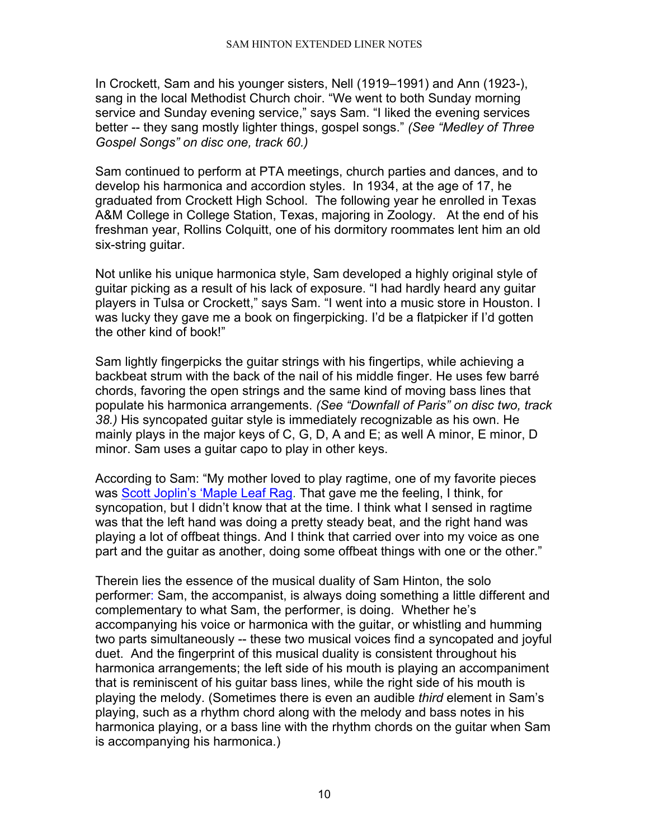In Crockett, Sam and his younger sisters, Nell (1919–1991) and Ann (1923-), sang in the local Methodist Church choir. "We went to both Sunday morning service and Sunday evening service," says Sam. "I liked the evening services better -- they sang mostly lighter things, gospel songs." *(See "Medley of Three Gospel Songs" on disc one, track 60.)*

Sam continued to perform at PTA meetings, church parties and dances, and to develop his harmonica and accordion styles. In 1934, at the age of 17, he graduated from Crockett High School. The following year he enrolled in Texas A&M College in College Station, Texas, majoring in Zoology. At the end of his freshman year, Rollins Colquitt, one of his dormitory roommates lent him an old six-string guitar.

Not unlike his unique harmonica style, Sam developed a highly original style of guitar picking as a result of his lack of exposure. "I had hardly heard any guitar players in Tulsa or Crockett," says Sam. "I went into a music store in Houston. I was lucky they gave me a book on fingerpicking. I'd be a flatpicker if I'd gotten the other kind of book!"

Sam lightly fingerpicks the guitar strings with his fingertips, while achieving a backbeat strum with the back of the nail of his middle finger. He uses few barré chords, favoring the open strings and the same kind of moving bass lines that populate his harmonica arrangements. *(See "Downfall of Paris" on disc two, track 38.)* His syncopated guitar style is immediately recognizable as his own. He mainly plays in the major keys of C, G, D, A and E; as well A minor, E minor, D minor. Sam uses a guitar capo to play in other keys.

According to Sam: "My mother loved to play ragtime, one of my favorite pieces was [Scott Joplin's 'Maple Leaf Rag.](http://music.minnesota.publicradio.org/features/9905_ragtime/index.shtml) That gave me the feeling, I think, for syncopation, but I didn't know that at the time. I think what I sensed in ragtime was that the left hand was doing a pretty steady beat, and the right hand was playing a lot of offbeat things. And I think that carried over into my voice as one part and the guitar as another, doing some offbeat things with one or the other."

Therein lies the essence of the musical duality of Sam Hinton, the solo performer: Sam, the accompanist, is always doing something a little different and complementary to what Sam, the performer, is doing. Whether he's accompanying his voice or harmonica with the guitar, or whistling and humming two parts simultaneously -- these two musical voices find a syncopated and joyful duet. And the fingerprint of this musical duality is consistent throughout his harmonica arrangements; the left side of his mouth is playing an accompaniment that is reminiscent of his guitar bass lines, while the right side of his mouth is playing the melody. (Sometimes there is even an audible *third* element in Sam's playing, such as a rhythm chord along with the melody and bass notes in his harmonica playing, or a bass line with the rhythm chords on the guitar when Sam is accompanying his harmonica.)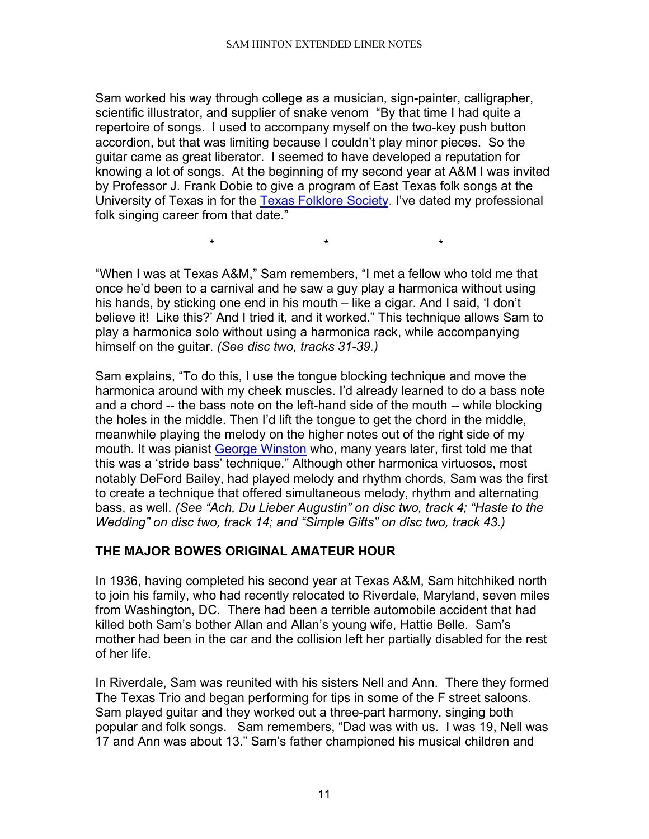Sam worked his way through college as a musician, sign-painter, calligrapher, scientific illustrator, and supplier of snake venom "By that time I had quite a repertoire of songs. I used to accompany myself on the two-key push button accordion, but that was limiting because I couldn't play minor pieces. So the guitar came as great liberator. I seemed to have developed a reputation for knowing a lot of songs. At the beginning of my second year at A&M I was invited by Professor J. Frank Dobie to give a program of East Texas folk songs at the University of Texas in for the [Texas Folklore Society.](http://www.texasfolkloresociety.org/) I've dated my professional folk singing career from that date."

"When I was at Texas A&M," Sam remembers, "I met a fellow who told me that once he'd been to a carnival and he saw a guy play a harmonica without using his hands, by sticking one end in his mouth – like a cigar. And I said, 'I don't believe it! Like this?' And I tried it, and it worked." This technique allows Sam to play a harmonica solo without using a harmonica rack, while accompanying himself on the guitar. *(See disc two, tracks 31-39.)*

\* \* \*

Sam explains, "To do this, I use the tongue blocking technique and move the harmonica around with my cheek muscles. I'd already learned to do a bass note and a chord -- the bass note on the left-hand side of the mouth -- while blocking the holes in the middle. Then I'd lift the tongue to get the chord in the middle, meanwhile playing the melody on the higher notes out of the right side of my mouth. It was pianist [George Winston](http://www.georgewinston.com/) who, many years later, first told me that this was a 'stride bass' technique*.*" Although other harmonica virtuosos, most notably DeFord Bailey, had played melody and rhythm chords, Sam was the first to create a technique that offered simultaneous melody, rhythm and alternating bass, as well. *(See "Ach, Du Lieber Augustin" on disc two, track 4; "Haste to the Wedding" on disc two, track 14; and "Simple Gifts" on disc two, track 43.)*

# <span id="page-10-0"></span>**THE MAJOR BOWES ORIGINAL AMATEUR HOUR**

In 1936, having completed his second year at Texas A&M, Sam hitchhiked north to join his family, who had recently relocated to Riverdale, Maryland, seven miles from Washington, DC. There had been a terrible automobile accident that had killed both Sam's bother Allan and Allan's young wife, Hattie Belle. Sam's mother had been in the car and the collision left her partially disabled for the rest of her life.

In Riverdale, Sam was reunited with his sisters Nell and Ann. There they formed The Texas Trio and began performing for tips in some of the F street saloons. Sam played guitar and they worked out a three-part harmony, singing both popular and folk songs. Sam remembers, "Dad was with us. I was 19, Nell was 17 and Ann was about 13." Sam's father championed his musical children and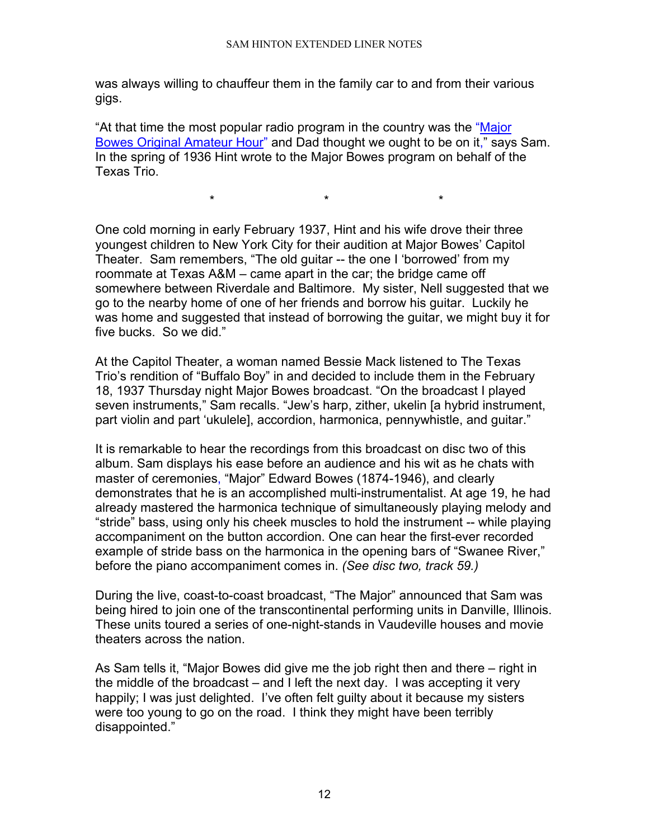was always willing to chauffeur them in the family car to and from their various gigs.

"At that time the most popular radio program in the country was the ["Major](http://www.old-time.com/commercials/the_original_amateur_hour.html)  [Bowes Original Amateur Hour"](http://www.old-time.com/commercials/the_original_amateur_hour.html) and Dad thought we ought to be on it," says Sam. In the spring of 1936 Hint wrote to the Major Bowes program on behalf of the Texas Trio.

\* \* \*

One cold morning in early February 1937, Hint and his wife drove their three youngest children to New York City for their audition at Major Bowes' Capitol Theater. Sam remembers, "The old guitar -- the one I 'borrowed' from my roommate at Texas A&M – came apart in the car; the bridge came off somewhere between Riverdale and Baltimore. My sister, Nell suggested that we go to the nearby home of one of her friends and borrow his guitar. Luckily he was home and suggested that instead of borrowing the guitar, we might buy it for five bucks. So we did."

At the Capitol Theater, a woman named Bessie Mack listened to The Texas Trio's rendition of "Buffalo Boy" in and decided to include them in the February 18, 1937 Thursday night Major Bowes broadcast. "On the broadcast I played seven instruments," Sam recalls. "Jew's harp, zither, ukelin [a hybrid instrument, part violin and part 'ukulele], accordion, harmonica, pennywhistle, and guitar."

It is remarkable to hear the recordings from this broadcast on disc two of this album. Sam displays his ease before an audience and his wit as he chats with master of ceremonies, "Major" Edward Bowes (1874-1946), and clearly demonstrates that he is an accomplished multi-instrumentalist. At age 19, he had already mastered the harmonica technique of simultaneously playing melody and "stride" bass, using only his cheek muscles to hold the instrument -- while playing accompaniment on the button accordion. One can hear the first-ever recorded example of stride bass on the harmonica in the opening bars of "Swanee River," before the piano accompaniment comes in. *(See disc two, track 59.)*

During the live, coast-to-coast broadcast, "The Major" announced that Sam was being hired to join one of the transcontinental performing units in Danville, Illinois. These units toured a series of one-night-stands in Vaudeville houses and movie theaters across the nation.

As Sam tells it, "Major Bowes did give me the job right then and there – right in the middle of the broadcast – and I left the next day. I was accepting it very happily; I was just delighted. I've often felt guilty about it because my sisters were too young to go on the road. I think they might have been terribly disappointed."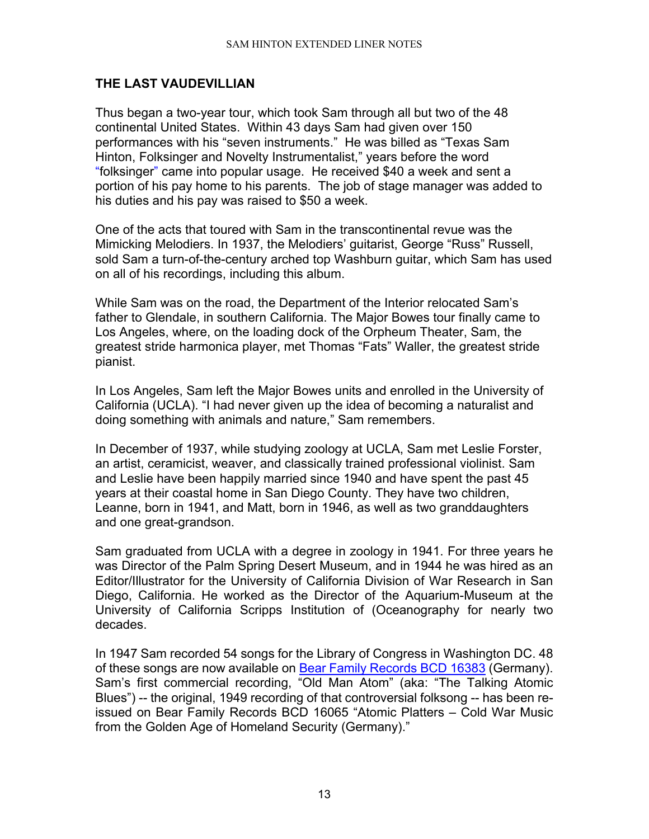# <span id="page-12-0"></span>**THE LAST VAUDEVILLIAN**

Thus began a two-year tour, which took Sam through all but two of the 48 continental United States. Within 43 days Sam had given over 150 performances with his "seven instruments." He was billed as "Texas Sam Hinton, Folksinger and Novelty Instrumentalist," years before the word "folksinger" came into popular usage. He received \$40 a week and sent a portion of his pay home to his parents. The job of stage manager was added to his duties and his pay was raised to \$50 a week.

One of the acts that toured with Sam in the transcontinental revue was the Mimicking Melodiers. In 1937, the Melodiers' guitarist, George "Russ" Russell, sold Sam a turn-of-the-century arched top Washburn guitar, which Sam has used on all of his recordings, including this album.

While Sam was on the road, the Department of the Interior relocated Sam's father to Glendale, in southern California. The Major Bowes tour finally came to Los Angeles, where, on the loading dock of the Orpheum Theater, Sam, the greatest stride harmonica player, met Thomas "Fats" Waller, the greatest stride pianist.

In Los Angeles, Sam left the Major Bowes units and enrolled in the University of California (UCLA). "I had never given up the idea of becoming a naturalist and doing something with animals and nature," Sam remembers.

In December of 1937, while studying zoology at UCLA, Sam met Leslie Forster, an artist, ceramicist, weaver, and classically trained professional violinist. Sam and Leslie have been happily married since 1940 and have spent the past 45 years at their coastal home in San Diego County. They have two children, Leanne, born in 1941, and Matt, born in 1946, as well as two granddaughters and one great-grandson.

Sam graduated from UCLA with a degree in zoology in 1941. For three years he was Director of the Palm Spring Desert Museum, and in 1944 he was hired as an Editor/Illustrator for the University of California Division of War Research in San Diego, California. He worked as the Director of the Aquarium-Museum at the University of California Scripps Institution of (Oceanography for nearly two decades.

In 1947 Sam recorded 54 songs for the Library of Congress in Washington DC. 48 of these songs are now available on [Bear Family Records BCD 16383](http://www.samhinton.org/ordering.html) (Germany). Sam's first commercial recording, "Old Man Atom" (aka: "The Talking Atomic Blues") -- the original, 1949 recording of that controversial folksong -- has been reissued on Bear Family Records BCD 16065 "Atomic Platters – Cold War Music from the Golden Age of Homeland Security (Germany)."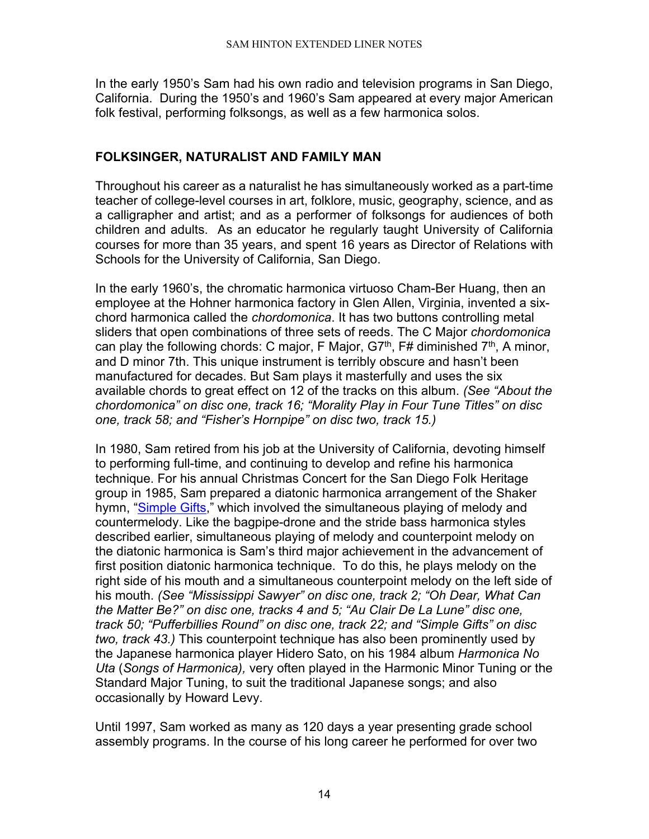In the early 1950's Sam had his own radio and television programs in San Diego, California. During the 1950's and 1960's Sam appeared at every major American folk festival, performing folksongs, as well as a few harmonica solos.

## <span id="page-13-0"></span>**FOLKSINGER, NATURALIST AND FAMILY MAN**

Throughout his career as a naturalist he has simultaneously worked as a part-time teacher of college-level courses in art, folklore, music, geography, science, and as a calligrapher and artist; and as a performer of folksongs for audiences of both children and adults. As an educator he regularly taught University of California courses for more than 35 years, and spent 16 years as Director of Relations with Schools for the University of California, San Diego.

In the early 1960's, the chromatic harmonica virtuoso Cham-Ber Huang, then an employee at the Hohner harmonica factory in Glen Allen, Virginia, invented a sixchord harmonica called the *chordomonica*. It has two buttons controlling metal sliders that open combinations of three sets of reeds. The C Major *chordomonica* can play the following chords: C major, F Major,  $GT<sup>th</sup>$ , F# diminished  $7<sup>th</sup>$ , A minor, and D minor 7th. This unique instrument is terribly obscure and hasn't been manufactured for decades. But Sam plays it masterfully and uses the six available chords to great effect on 12 of the tracks on this album. *(See "About the chordomonica" on disc one, track 16; "Morality Play in Four Tune Titles" on disc one, track 58; and "Fisher's Hornpipe" on disc two, track 15.)*

In 1980, Sam retired from his job at the University of California, devoting himself to performing full-time, and continuing to develop and refine his harmonica technique. For his annual Christmas Concert for the San Diego Folk Heritage group in 1985, Sam prepared a diatonic harmonica arrangement of the Shaker hymn, ["Simple Gifts,](http://www.freep.com/fun/music/qshaker11.htm)" which involved the simultaneous playing of melody and countermelody. Like the bagpipe-drone and the stride bass harmonica styles described earlier, simultaneous playing of melody and counterpoint melody on the diatonic harmonica is Sam's third major achievement in the advancement of first position diatonic harmonica technique. To do this, he plays melody on the right side of his mouth and a simultaneous counterpoint melody on the left side of his mouth. *(See "Mississippi Sawyer" on disc one, track 2; "Oh Dear, What Can the Matter Be?" on disc one, tracks 4 and 5; "Au Clair De La Lune" disc one, track 50; "Pufferbillies Round" on disc one, track 22; and "Simple Gifts" on disc two, track 43.)* This counterpoint technique has also been prominently used by the Japanese harmonica player Hidero Sato, on his 1984 album *Harmonica No Uta* (*Songs of Harmonica),* very often played in the Harmonic Minor Tuning or the Standard Major Tuning, to suit the traditional Japanese songs; and also occasionally by Howard Levy.

Until 1997, Sam worked as many as 120 days a year presenting grade school assembly programs. In the course of his long career he performed for over two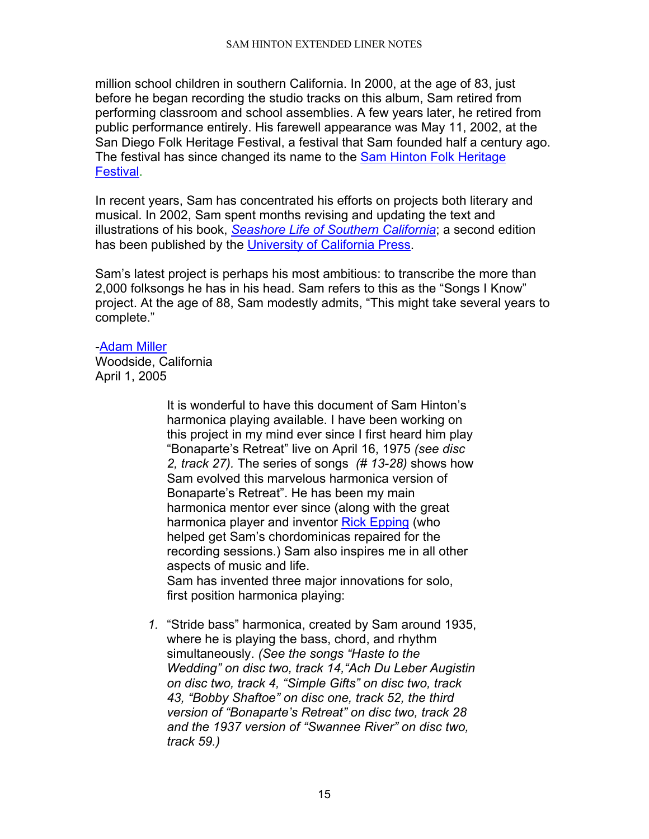million school children in southern California. In 2000, at the age of 83, just before he began recording the studio tracks on this album, Sam retired from performing classroom and school assemblies. A few years later, he retired from public performance entirely. His farewell appearance was May 11, 2002, at the San Diego Folk Heritage Festival, a festival that Sam founded half a century ago. The festival has since changed its name to the [Sam Hinton Folk Heritage](http://www.sdfolkheritage.org/schedule.html)  [Festival.](http://www.sdfolkheritage.org/schedule.html)

In recent years, Sam has concentrated his efforts on projects both literary and musical. In 2002, Sam spent months revising and updating the text and illustrations of his book, *[Seashore Life of Southern California](http://www.ucpress.edu/books/pages/2119.html)*; a second edition has been published by the [University of California Press.](http://www.ucpress.edu/)

Sam's latest project is perhaps his most ambitious: to transcribe the more than 2,000 folksongs he has in his head. Sam refers to this as the "Songs I Know" project. At the age of 88, Sam modestly admits, "This might take several years to complete."

#### [-Adam Miller](http://www.folksinging.org/)

<span id="page-14-0"></span>Woodside, California April 1, 2005

> It is wonderful to have this document of Sam Hinton's harmonica playing available. I have been working on this project in my mind ever since I first heard him play "Bonaparte's Retreat" live on April 16, 1975 *(see disc 2, track 27).* The series of songs *(# 13-28)* shows how Sam evolved this marvelous harmonica version of Bonaparte's Retreat". He has been my main harmonica mentor ever since (along with the great harmonica player and inventor [Rick Epping](http://www.harmonicamasterclass.com/rick_epping.htm) (who helped get Sam's chordominicas repaired for the recording sessions.) Sam also inspires me in all other aspects of music and life. Sam has invented three major innovations for solo, first position harmonica playing:

*1.* "Stride bass" harmonica, created by Sam around 1935, where he is playing the bass, chord, and rhythm simultaneously. *(See the songs "Haste to the Wedding" on disc two, track 14,"Ach Du Leber Augistin on disc two, track 4, "Simple Gifts" on disc two, track 43, "Bobby Shaftoe" on disc one, track 52, the third version of "Bonaparte's Retreat" on disc two, track 28 and the 1937 version of "Swannee River" on disc two, track 59.)*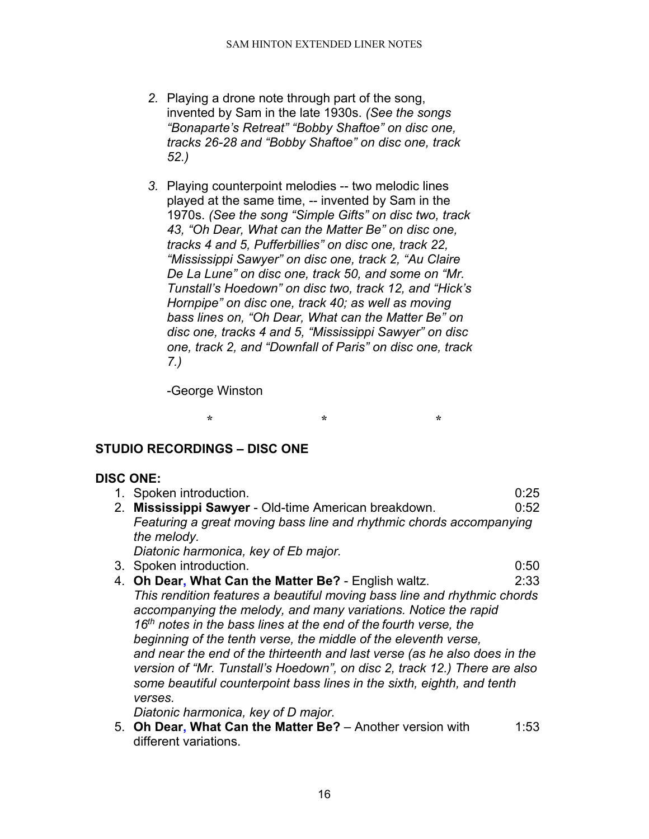- *2.* Playing a drone note through part of the song, invented by Sam in the late 1930s. *(See the songs "Bonaparte's Retreat" "Bobby Shaftoe" on disc one, tracks 26-28 and "Bobby Shaftoe" on disc one, track 52.)*
- *3.* Playing counterpoint melodies -- two melodic lines played at the same time, -- invented by Sam in the 1970s. *(See the song "Simple Gifts" on disc two, track 43, "Oh Dear, What can the Matter Be" on disc one, tracks 4 and 5, Pufferbillies" on disc one, track 22, "Mississippi Sawyer" on disc one, track 2, "Au Claire De La Lune" on disc one, track 50, and some on "Mr. Tunstall's Hoedown" on disc two, track 12, and "Hick's Hornpipe" on disc one, track 40; as well as moving bass lines on, "Oh Dear, What can the Matter Be" on disc one, tracks 4 and 5, "Mississippi Sawyer" on disc one, track 2, and "Downfall of Paris" on disc one, track 7.)*

-George Winston

**\* \* \***

# <span id="page-15-0"></span>**STUDIO RECORDINGS – DISC ONE**

### **DISC ONE:**

|    | 1. Spoken introduction.                                                                                                                                                                                                                                                                                                                                                                                                                                                                                                                                                      | 0:25 |
|----|------------------------------------------------------------------------------------------------------------------------------------------------------------------------------------------------------------------------------------------------------------------------------------------------------------------------------------------------------------------------------------------------------------------------------------------------------------------------------------------------------------------------------------------------------------------------------|------|
| 2. | Mississippi Sawyer - Old-time American breakdown.                                                                                                                                                                                                                                                                                                                                                                                                                                                                                                                            | 0:52 |
|    | Featuring a great moving bass line and rhythmic chords accompanying<br>the melody.                                                                                                                                                                                                                                                                                                                                                                                                                                                                                           |      |
|    | Diatonic harmonica, key of Eb major.                                                                                                                                                                                                                                                                                                                                                                                                                                                                                                                                         |      |
|    | 3. Spoken introduction.                                                                                                                                                                                                                                                                                                                                                                                                                                                                                                                                                      | 0:50 |
|    | 4. Oh Dear, What Can the Matter Be? - English waltz.                                                                                                                                                                                                                                                                                                                                                                                                                                                                                                                         | 2:33 |
|    | This rendition features a beautiful moving bass line and rhythmic chords<br>accompanying the melody, and many variations. Notice the rapid<br>16 <sup>th</sup> notes in the bass lines at the end of the fourth verse, the<br>beginning of the tenth verse, the middle of the eleventh verse,<br>and near the end of the thirteenth and last verse (as he also does in the<br>version of "Mr. Tunstall's Hoedown", on disc 2, track 12.) There are also<br>some beautiful counterpoint bass lines in the sixth, eighth, and tenth<br>verses.<br>Dish and a has a same value. |      |

*Diatonic harmonica, key of D major.*

5. **Oh Dear, What Can the Matter Be?** – Another version with 1:53 different variations.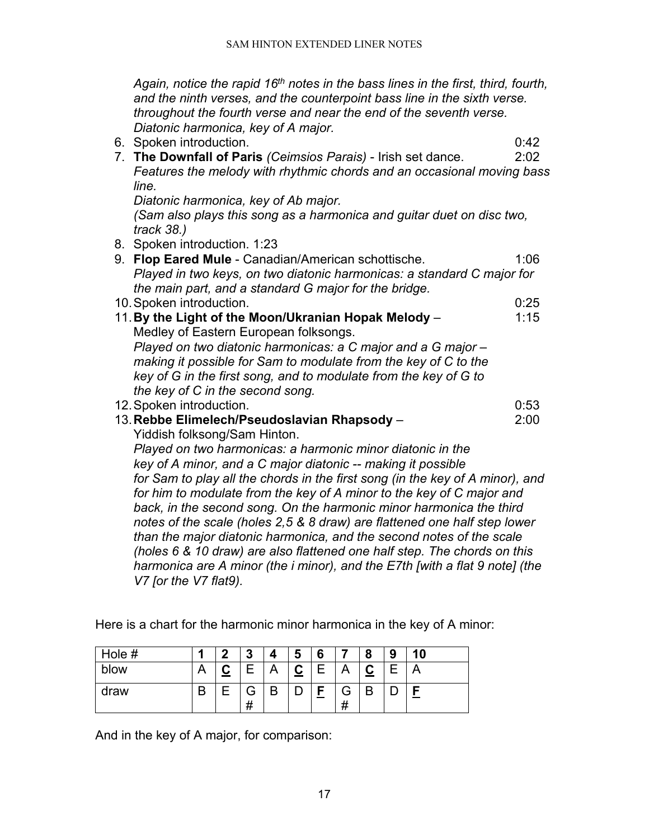*Again, notice the rapid 16th notes in the bass lines in the first, third, fourth, and the ninth verses, and the counterpoint bass line in the sixth verse. throughout the fourth verse and near the end of the seventh verse. Diatonic harmonica, key of A major.*

6. Spoken introduction. 0:42

7. **The Downfall of Paris** *(Ceimsios Parais)* - Irish set dance. 2:02 *Features the melody with rhythmic chords and an occasional moving bass line.* 

*Diatonic harmonica, key of Ab major.* 

*(Sam also plays this song as a harmonica and guitar duet on disc two, track 38.)*

- 8. Spoken introduction. 1:23
- 9. **Flop Eared Mule** Canadian/American schottische. 1:06 *Played in two keys, on two diatonic harmonicas: a standard C major for the main part, and a standard G major for the bridge.* 10. Spoken introduction. **0:25** 11. By the Light of the Moon/Ukranian Hopak Melody – 1:15 Medley of Eastern European folksongs. *Played on two diatonic harmonicas: a C major and a G major – making it possible for Sam to modulate from the key of C to the key of G in the first song, and to modulate from the key of G to the key of C in the second song.*  12.Spoken introduction. 0:53 13.**Rebbe Elimelech/Pseudoslavian Rhapsody** – 2:00 Yiddish folksong/Sam Hinton. *Played on two harmonicas: a harmonic minor diatonic in the key of A minor, and a C major diatonic -- making it possible for Sam to play all the chords in the first song (in the key of A minor), and for him to modulate from the key of A minor to the key of C major and back, in the second song. On the harmonic minor harmonica the third notes of the scale (holes 2,5 & 8 draw) are flattened one half step lower than the major diatonic harmonica, and the second notes of the scale (holes 6 & 10 draw) are also flattened one half step. The chords on this harmonica are A minor (the i minor), and the E7th [with a flat 9 note] (the V7 [or the V7 flat9).*

Here is a chart for the harmonic minor harmonica in the key of A minor:

| Hole # |    | n | o<br>u |   | 5             | 6 |               | o<br>о | 9 | 10 |
|--------|----|---|--------|---|---------------|---|---------------|--------|---|----|
| blow   |    |   |        |   | ⌒<br><u>ي</u> |   |               |        |   | ⌒  |
| draw   | רז |   | ਜ<br># | В |               | - | Э<br>,,<br>77 | В      |   |    |

And in the key of A major, for comparison: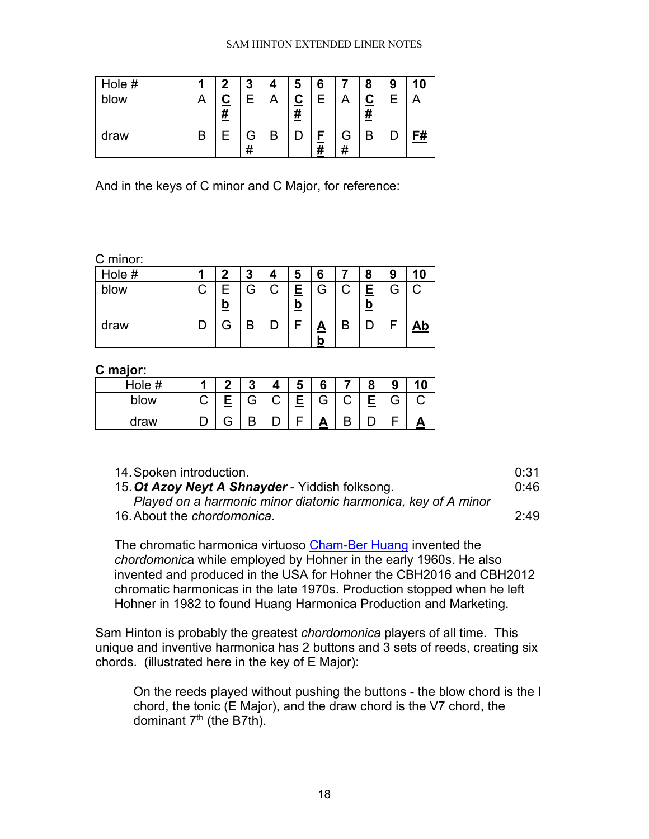#### SAM HINTON EXTENDED LINER NOTES

| Hole # | ŋ | 3      |   | 5                  | 6      |   | 8                           | 9 | 10 |
|--------|---|--------|---|--------------------|--------|---|-----------------------------|---|----|
| blow   | # | Е      |   | $\bar{\textbf{H}}$ | ⊢      |   | <u>C</u><br>$\overline{\#}$ |   |    |
| draw   |   | G<br># | B |                    | г<br># | # | B                           |   | F# |

And in the keys of C minor and C Major, for reference:

#### C minor:

| Hole # | 0        | 3 | 5           | 6                        | 8      | 9 |           |
|--------|----------|---|-------------|--------------------------|--------|---|-----------|
| blow   | <u>b</u> | G | E<br>=<br>O | G                        | E<br>D | G | C         |
| draw   |          | B |             | $\mathbf{\underline{A}}$ |        |   | <u>Ab</u> |

### **C major:**

| Hole # |     | ≏ |   | -<br>C | 6 |           | Ω<br>э                        |  |
|--------|-----|---|---|--------|---|-----------|-------------------------------|--|
| blow   | ___ | G | ⌒ | Е<br>- | G | Ξ,<br>___ | $\overline{\phantom{1}}$<br>ت |  |
| draw   |     | D |   |        |   |           |                               |  |

| 14. Spoken introduction.                                      | 0:31 |
|---------------------------------------------------------------|------|
| 15. Ot Azoy Neyt A Shnayder - Yiddish folksong.               | 0:46 |
| Played on a harmonic minor diatonic harmonica, key of A minor |      |
| 16. About the chordomonica.                                   | 2:49 |

The chromatic harmonica virtuoso [Cham-Ber Huang](http://www.bassharp.com/cbh.htm) invented the *chordomonic*a while employed by Hohner in the early 1960s. He also invented and produced in the USA for Hohner the CBH2016 and CBH2012 chromatic harmonicas in the late 1970s. Production stopped when he left Hohner in 1982 to found Huang Harmonica Production and Marketing.

Sam Hinton is probably the greatest *chordomonica* players of all time. This unique and inventive harmonica has 2 buttons and 3 sets of reeds, creating six chords. (illustrated here in the key of E Major):

On the reeds played without pushing the buttons - the blow chord is the I chord, the tonic (E Major), and the draw chord is the V7 chord, the dominant 7<sup>th</sup> (the B7th).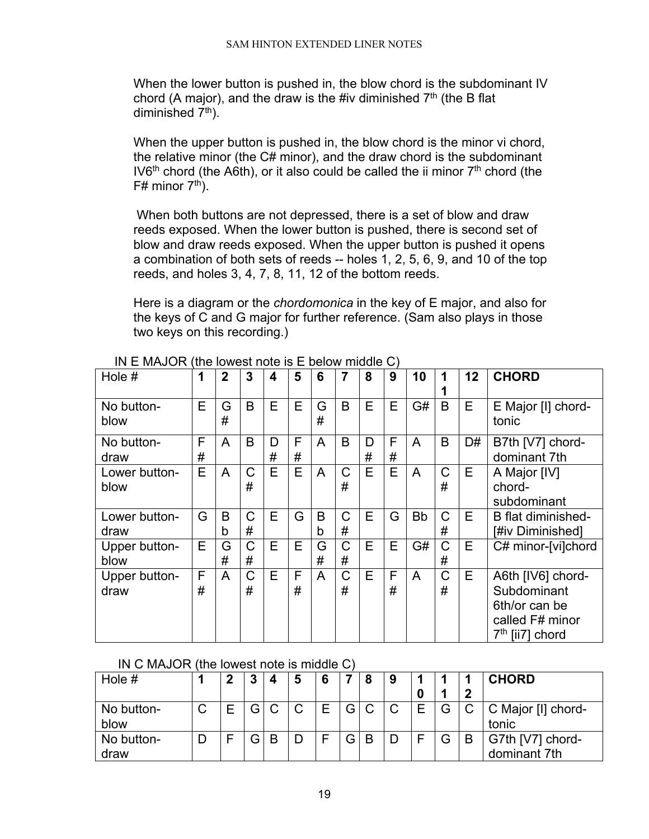When the lower button is pushed in, the blow chord is the subdominant IV chord (A major), and the draw is the #iv diminished  $7<sup>th</sup>$  (the B flat diminished  $7<sup>th</sup>$ ).

When the upper button is pushed in, the blow chord is the minor vi chord, the relative minor (the C# minor), and the draw chord is the subdominant IV6<sup>th</sup> chord (the A6th), or it also could be called the ii minor  $7<sup>th</sup>$  chord (the  $F#$  minor  $7<sup>th</sup>$ ).

When both buttons are not depressed, there is a set of blow and draw reeds exposed. When the lower button is pushed, there is second set of blow and draw reeds exposed. When the upper button is pushed it opens a combination of both sets of reeds -- holes 1, 2, 5, 6, 9, and 10 of the top reeds, and holes 3, 4, 7, 8, 11, 12 of the bottom reeds.

Here is a diagram or the *chordomonica* in the key of E major, and also for the keys of C and G major for further reference. (Sam also plays in those two keys on this recording.)

| Hole #                |        | $\overline{2}$ | 3                | 4      | 5      | 6      | 7                 | 8      | 9      | 10        | 1      | 12 | <b>CHORD</b>                                                                                        |
|-----------------------|--------|----------------|------------------|--------|--------|--------|-------------------|--------|--------|-----------|--------|----|-----------------------------------------------------------------------------------------------------|
| No button-<br>blow    | Е      | G<br>#         | B                | E      | E      | G<br># | B                 | E      | E      | G#        | B      | E  | E Major [I] chord-<br>tonic                                                                         |
| No button-<br>draw    | F<br># | A              | B                | D<br># | F<br># | A      | B                 | D<br># | F<br># | A         | B      | D# | B7th [V7] chord-<br>dominant 7th                                                                    |
| Lower button-<br>blow | E      | A              | C<br>#           | E      | E      | A      | C<br>#            | E      | E      | A         | C<br># | E  | A Major [IV]<br>chord-<br>subdominant                                                               |
| Lower button-<br>draw | G      | B<br>b         | C<br>#           | E      | G      | B<br>b | C<br>#            | E      | G      | <b>Bb</b> | C<br># | Е  | B flat diminished-<br>[#iv Diminished]                                                              |
| Upper button-<br>blow | Е      | G<br>#         | C<br>#           | Е      | Е      | G<br># | $\mathsf{C}$<br># | E      | E      | G#        | C<br># | E  | C# minor-[vi]chord                                                                                  |
| Upper button-<br>draw | F<br># | A              | $\mathsf C$<br># | Е      | F<br># | A      | C<br>#            | E      | F<br># | A         | C<br># | E  | A6th [IV6] chord-<br>Subdominant<br>6th/or can be<br>called F# minor<br>7 <sup>th</sup> [ii7] chord |

IN E MAJOR (the lowest note is E below middle C)

IN C MAJOR (the lowest note is middle C)

| Hole #             | ົ | 3  | 4 | 5 | 6 |    | 8 | 9            |   |   |   | <b>CHORD</b>                     |
|--------------------|---|----|---|---|---|----|---|--------------|---|---|---|----------------------------------|
|                    |   |    |   |   |   |    |   |              | n |   | ∍ |                                  |
| No button-<br>blow |   | G. | C | C |   | G' | C | $\mathsf{C}$ | Е | G |   | C Major [I] chord-<br>tonic      |
| No button-<br>draw |   | G. | B |   |   | G' | B |              | Е | G | B | G7th [V7] chord-<br>dominant 7th |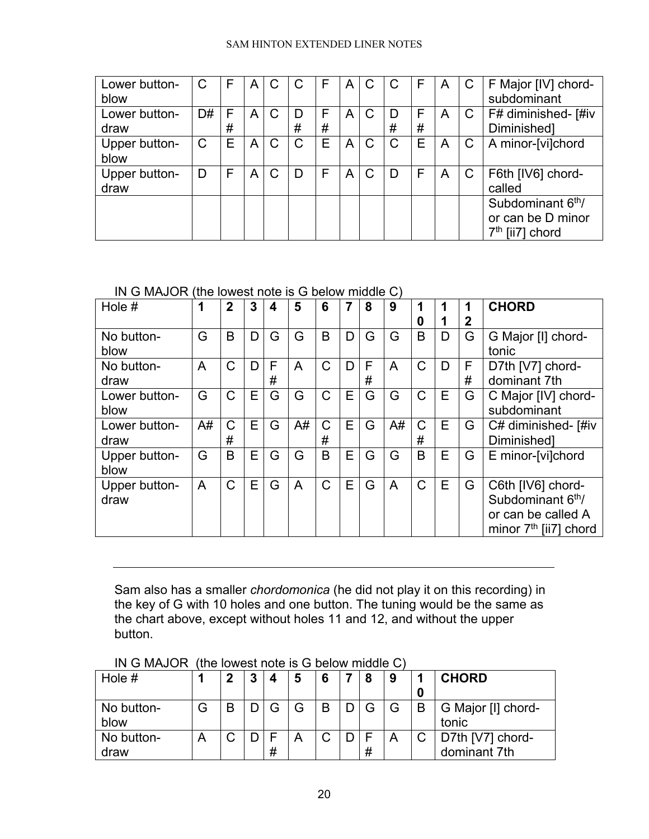#### SAM HINTON EXTENDED LINER NOTES

| Lower button-<br>blow | C  | F      | A            | C            | C            | F      | A | C            | C            | F      | A | $\mathsf{C}$ | F Major [IV] chord-<br>subdominant                                                |
|-----------------------|----|--------|--------------|--------------|--------------|--------|---|--------------|--------------|--------|---|--------------|-----------------------------------------------------------------------------------|
| Lower button-<br>draw | D# | F<br># | $\mathsf{A}$ | C            | D<br>#       | F<br># | A | C            | D<br>#       | F<br># | A | $\mathsf{C}$ | F# diminished- [#iv<br>Diminished]                                                |
| Upper button-<br>blow | C  | E      | $\mathsf{A}$ | $\mathsf{C}$ | $\mathsf{C}$ | E      | A | $\mathsf{C}$ | $\mathsf{C}$ | E      | A | C            | A minor-[vi]chord                                                                 |
| Upper button-<br>draw | D  | E      | A            | $\mathsf C$  | D            | F      | A | $\mathsf C$  | D            | F      | A | $\mathsf{C}$ | F6th [IV6] chord-<br>called                                                       |
|                       |    |        |              |              |              |        |   |              |              |        |   |              | Subdominant 6 <sup>th</sup> /<br>or can be D minor<br>7 <sup>th</sup> [ii7] chord |

IN G MAJOR (the lowest note is G below middle C)

| Hole #        | 1  | $\mathbf{2}$ | 3 | 4 | 5  | 6            | 7 | 8 | 9  |              |   | 1            | <b>CHORD</b>                  |
|---------------|----|--------------|---|---|----|--------------|---|---|----|--------------|---|--------------|-------------------------------|
|               |    |              |   |   |    |              |   |   |    | 0            |   | $\mathbf{2}$ |                               |
| No button-    | G  | B            | D | G | G  | B            | D | G | G  | B            | D | G            | G Major [I] chord-            |
| blow          |    |              |   |   |    |              |   |   |    |              |   |              | tonic                         |
| No button-    | A  | C            | D | F | A  | $\mathsf{C}$ | D | F | A  | $\mathsf{C}$ | D | F            | D7th [V7] chord-              |
| draw          |    |              |   | # |    |              |   | # |    |              |   | #            | dominant 7th                  |
| Lower button- | G  | $\mathsf{C}$ | Е | G | G  | $\mathsf{C}$ | Е | G | G  | C            | E | G            | C Major [IV] chord-           |
| blow          |    |              |   |   |    |              |   |   |    |              |   |              | subdominant                   |
| Lower button- | A# | C            | E | G | A# | $\mathsf{C}$ | E | G | A# | $\mathsf{C}$ | E | G            | C# diminished- [#iv           |
| draw          |    | #            |   |   |    | #            |   |   |    | #            |   |              | Diminishedl                   |
| Upper button- | G  | B            | Е | G | G  | B            | E | G | G  | B            | E | G            | E minor-[vi]chord             |
| blow          |    |              |   |   |    |              |   |   |    |              |   |              |                               |
| Upper button- | A  | $\mathsf C$  | E | G | A  | $\mathsf{C}$ | E | G | A  | $\mathsf{C}$ | E | G            | C6th [IV6] chord-             |
| draw          |    |              |   |   |    |              |   |   |    |              |   |              | Subdominant 6 <sup>th</sup> / |
|               |    |              |   |   |    |              |   |   |    |              |   |              | or can be called A            |
|               |    |              |   |   |    |              |   |   |    |              |   |              | minor $7th$ [ii7] chord       |

Sam also has a smaller *chordomonica* (he did not play it on this recording) in the key of G with 10 holes and one button. The tuning would be the same as the chart above, except without holes 11 and 12, and without the upper button.

| Hole #             | ŋ | 3 | 4 | 5 | 6 | 8 | 9 |   | <b>CHORD</b>                     |
|--------------------|---|---|---|---|---|---|---|---|----------------------------------|
| No button-<br>blow | B |   |   |   |   | G | G | B | G Major [I] chord-<br>tonic      |
| No button-<br>draw | C |   | # |   |   | # | Α |   | D7th [V7] chord-<br>dominant 7th |

|  | IN G MAJOR (the lowest note is G below middle C) |
|--|--------------------------------------------------|
|--|--------------------------------------------------|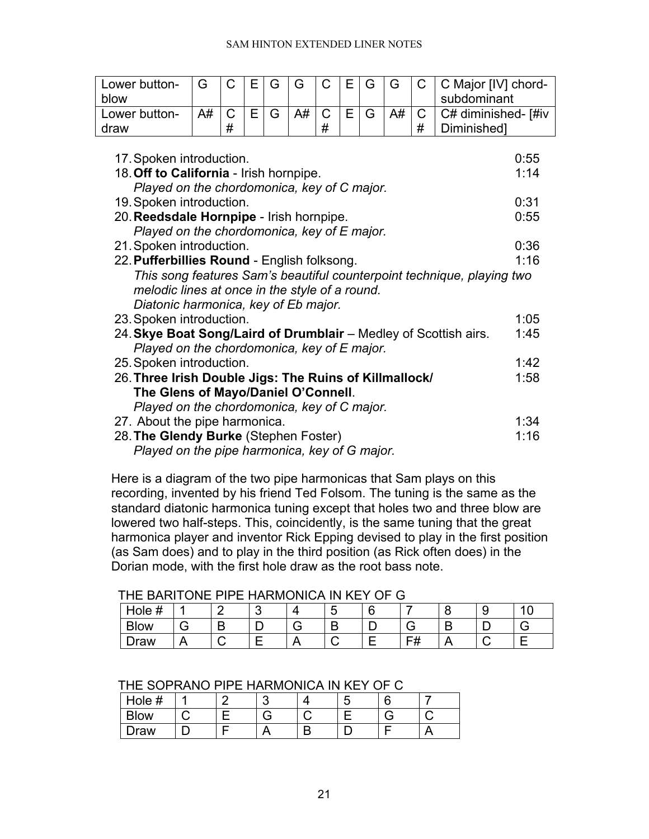#### SAM HINTON EXTENDED LINER NOTES

| Lower button-                                                    | G  | C           | Е | G | G  | C | Е | G | G  | C | C Major [IV] chord-                                                    |
|------------------------------------------------------------------|----|-------------|---|---|----|---|---|---|----|---|------------------------------------------------------------------------|
| blow                                                             |    |             |   |   |    |   |   |   |    |   | subdominant                                                            |
| Lower button-                                                    | A# | $\mathsf C$ | Е | G | A# | C | E | G | A# | C | C# diminished- [#iv                                                    |
| draw                                                             |    | #           |   |   |    | # |   |   |    | # | Diminished]                                                            |
|                                                                  |    |             |   |   |    |   |   |   |    |   |                                                                        |
| 17. Spoken introduction.                                         |    |             |   |   |    |   |   |   |    |   | 0:55                                                                   |
| 18. Off to California - Irish hornpipe.                          |    |             |   |   |    |   |   |   |    |   | 1:14                                                                   |
| Played on the chordomonica, key of C major.                      |    |             |   |   |    |   |   |   |    |   |                                                                        |
| 19. Spoken introduction.                                         |    |             |   |   |    |   |   |   |    |   | 0:31                                                                   |
| 20. Reedsdale Hornpipe - Irish hornpipe.                         |    |             |   |   |    |   |   |   |    |   | 0:55                                                                   |
| Played on the chordomonica, key of E major.                      |    |             |   |   |    |   |   |   |    |   |                                                                        |
| 21. Spoken introduction.                                         |    |             |   |   |    |   |   |   |    |   | 0:36                                                                   |
| 22. Pufferbillies Round - English folksong.                      |    |             |   |   |    |   |   |   |    |   | 1:16                                                                   |
|                                                                  |    |             |   |   |    |   |   |   |    |   | This song features Sam's beautiful counterpoint technique, playing two |
| melodic lines at once in the style of a round.                   |    |             |   |   |    |   |   |   |    |   |                                                                        |
| Diatonic harmonica, key of Eb major.                             |    |             |   |   |    |   |   |   |    |   |                                                                        |
|                                                                  |    |             |   |   |    |   |   |   |    |   |                                                                        |
| 23. Spoken introduction.                                         |    |             |   |   |    |   |   |   |    |   | 1:05                                                                   |
| 24. Skye Boat Song/Laird of Drumblair - Medley of Scottish airs. |    |             |   |   |    |   |   |   |    |   | 1:45                                                                   |
| Played on the chordomonica, key of E major.                      |    |             |   |   |    |   |   |   |    |   |                                                                        |
| 25. Spoken introduction.                                         |    |             |   |   |    |   |   |   |    |   | 1:42                                                                   |
| 26. Three Irish Double Jigs: The Ruins of Killmallock/           |    |             |   |   |    |   |   |   |    |   | 1:58                                                                   |
| The Glens of Mayo/Daniel O'Connell.                              |    |             |   |   |    |   |   |   |    |   |                                                                        |
| Played on the chordomonica, key of C major.                      |    |             |   |   |    |   |   |   |    |   |                                                                        |
| 27. About the pipe harmonica.                                    |    |             |   |   |    |   |   |   |    |   | 1:34                                                                   |
| 28. The Glendy Burke (Stephen Foster)                            |    |             |   |   |    |   |   |   |    |   | 1:16                                                                   |
| Played on the pipe harmonica, key of G major.                    |    |             |   |   |    |   |   |   |    |   |                                                                        |

Here is a diagram of the two pipe harmonicas that Sam plays on this recording, invented by his friend Ted Folsom. The tuning is the same as the standard diatonic harmonica tuning except that holes two and three blow are lowered two half-steps. This, coincidently, is the same tuning that the great harmonica player and inventor Rick Epping devised to play in the first position (as Sam does) and to play in the third position (as Rick often does) in the Dorian mode, with the first hole draw as the root bass note.

| THE BARTTONE PIPE HARMONICA IN KET OF G |  |  |  |    |  |  |
|-----------------------------------------|--|--|--|----|--|--|
| Hole #                                  |  |  |  |    |  |  |
| Blow                                    |  |  |  |    |  |  |
| `raw                                    |  |  |  | cн |  |  |

# THE BARITONE PIPE HARMONICA IN KEY OF G

| THE SOPRANO PIPE HARMONICA IN KEY OF C |  |  |
|----------------------------------------|--|--|
|----------------------------------------|--|--|

| #<br>Hole        |  | ι. | ∼ |  |
|------------------|--|----|---|--|
| <b>SIOW</b><br>- |  |    |   |  |
| raw              |  |    |   |  |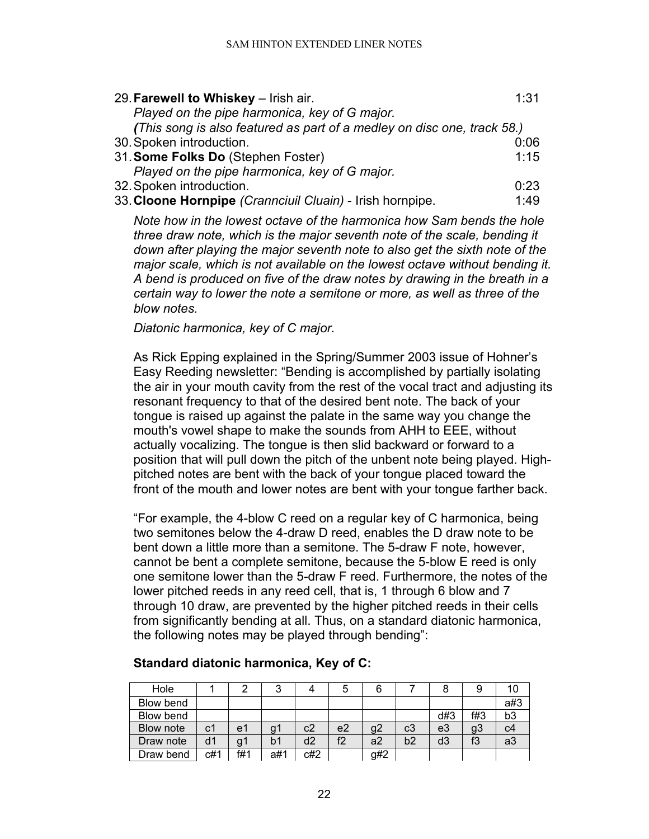| 29. Farewell to Whiskey - Irish air.                                    | 1:31 |
|-------------------------------------------------------------------------|------|
| Played on the pipe harmonica, key of G major.                           |      |
| (This song is also featured as part of a medley on disc one, track 58.) |      |
| 30. Spoken introduction.                                                | 0:06 |
| 31. Some Folks Do (Stephen Foster)                                      | 1:15 |
| Played on the pipe harmonica, key of G major.                           |      |
| 32. Spoken introduction.                                                | 0:23 |
| 33. Cloone Hornpipe (Crannciuil Cluain) - Irish hornpipe.               | 1:49 |

*Note how in the lowest octave of the harmonica how Sam bends the hole three draw note, which is the major seventh note of the scale, bending it down after playing the major seventh note to also get the sixth note of the major scale, which is not available on the lowest octave without bending it. A bend is produced on five of the draw notes by drawing in the breath in a certain way to lower the note a semitone or more, as well as three of the blow notes.*

*Diatonic harmonica, key of C major.*

As Rick Epping explained in the Spring/Summer 2003 issue of Hohner's Easy Reeding newsletter: "Bending is accomplished by partially isolating the air in your mouth cavity from the rest of the vocal tract and adjusting its resonant frequency to that of the desired bent note. The back of your tongue is raised up against the palate in the same way you change the mouth's vowel shape to make the sounds from AHH to EEE, without actually vocalizing. The tongue is then slid backward or forward to a position that will pull down the pitch of the unbent note being played. Highpitched notes are bent with the back of your tongue placed toward the front of the mouth and lower notes are bent with your tongue farther back.

"For example, the 4-blow C reed on a regular key of C harmonica, being two semitones below the 4-draw D reed, enables the D draw note to be bent down a little more than a semitone. The 5-draw F note, however, cannot be bent a complete semitone, because the 5-blow E reed is only one semitone lower than the 5-draw F reed. Furthermore, the notes of the lower pitched reeds in any reed cell, that is, 1 through 6 blow and 7 through 10 draw, are prevented by the higher pitched reeds in their cells from significantly bending at all. Thus, on a standard diatonic harmonica, the following notes may be played through bending":

| Hole      |     |     |     |     | G              |     |    |     | 9   | 10 |
|-----------|-----|-----|-----|-----|----------------|-----|----|-----|-----|----|
| Blow bend |     |     |     |     |                |     |    |     |     | a# |
| Blow bend |     |     |     |     |                |     |    | d#3 | f#3 | b3 |
| Blow note | c1  | e1  | g٦  | c2  | e <sub>2</sub> | g2  | c3 | e3  | g3  |    |
| Draw note | d1  | g٦  | b1  | d2  | f2             | a2  | b2 | d3  | f3  | ac |
| Draw bend | c#1 | f#1 | a#1 | c#2 |                | g#2 |    |     |     |    |

# **Standard diatonic harmonica, Key of C:**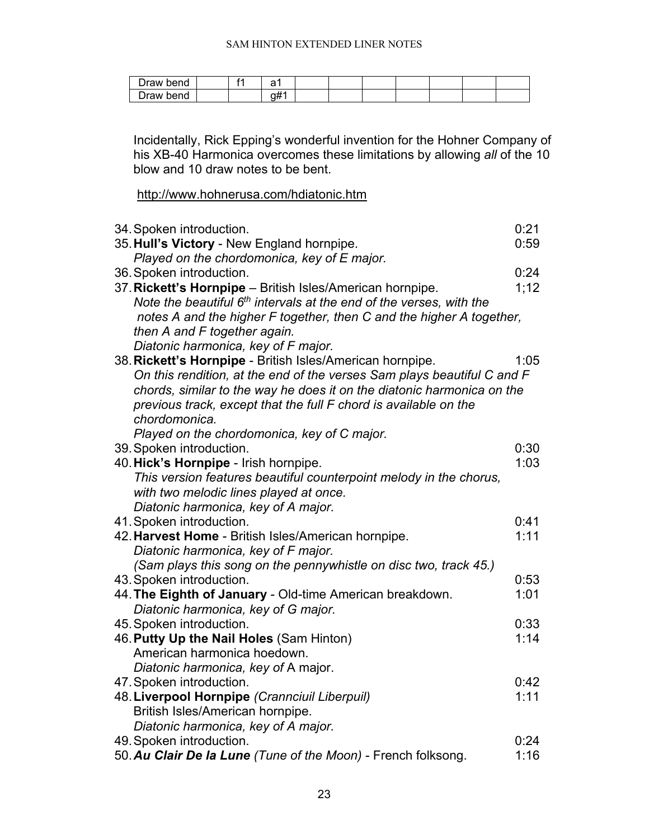| )raw bend          |  | ∽           |  |  |  |  |
|--------------------|--|-------------|--|--|--|--|
| -<br>Traw.<br>bend |  | ---<br>- 11 |  |  |  |  |

Incidentally, Rick Epping's wonderful invention for the Hohner Company of his XB-40 Harmonica overcomes these limitations by allowing *all* of the 10 blow and 10 draw notes to be bent.

<http://www.hohnerusa.com/hdiatonic.htm>

| 34. Spoken introduction.                                                        | 0:21 |
|---------------------------------------------------------------------------------|------|
| 35. Hull's Victory - New England hornpipe.                                      | 0:59 |
| Played on the chordomonica, key of E major.                                     |      |
| 36. Spoken introduction.                                                        | 0:24 |
| 37. Rickett's Hornpipe - British Isles/American hornpipe.                       | 1;12 |
| Note the beautiful 6 <sup>th</sup> intervals at the end of the verses, with the |      |
| notes A and the higher F together, then C and the higher A together,            |      |
| then A and F together again.                                                    |      |
| Diatonic harmonica, key of F major.                                             |      |
| 38. Rickett's Hornpipe - British Isles/American hornpipe.                       | 1:05 |
| On this rendition, at the end of the verses Sam plays beautiful C and F         |      |
| chords, similar to the way he does it on the diatonic harmonica on the          |      |
| previous track, except that the full F chord is available on the                |      |
| chordomonica.                                                                   |      |
| Played on the chordomonica, key of C major.                                     |      |
| 39. Spoken introduction.                                                        | 0:30 |
| 40. Hick's Hornpipe - Irish hornpipe.                                           | 1:03 |
| This version features beautiful counterpoint melody in the chorus,              |      |
| with two melodic lines played at once.                                          |      |
| Diatonic harmonica, key of A major.                                             |      |
| 41. Spoken introduction.                                                        | 0:41 |
| 42. Harvest Home - British Isles/American hornpipe.                             | 1:11 |
| Diatonic harmonica, key of F major.                                             |      |
| (Sam plays this song on the pennywhistle on disc two, track 45.)                |      |
| 43. Spoken introduction.                                                        | 0:53 |
| 44. The Eighth of January - Old-time American breakdown.                        | 1:01 |
| Diatonic harmonica, key of G major.                                             |      |
| 45. Spoken introduction.                                                        | 0:33 |
| 46. Putty Up the Nail Holes (Sam Hinton)                                        | 1:14 |
| American harmonica hoedown.                                                     |      |
| Diatonic harmonica, key of A major.                                             |      |
| 47. Spoken introduction.                                                        | 0:42 |
| 48. Liverpool Hornpipe (Crannciuil Liberpuil)                                   | 1:11 |
| British Isles/American hornpipe.                                                |      |
| Diatonic harmonica, key of A major.                                             |      |
| 49. Spoken introduction.                                                        | 0:24 |
| 50. Au Clair De la Lune (Tune of the Moon) - French folksong.                   | 1:16 |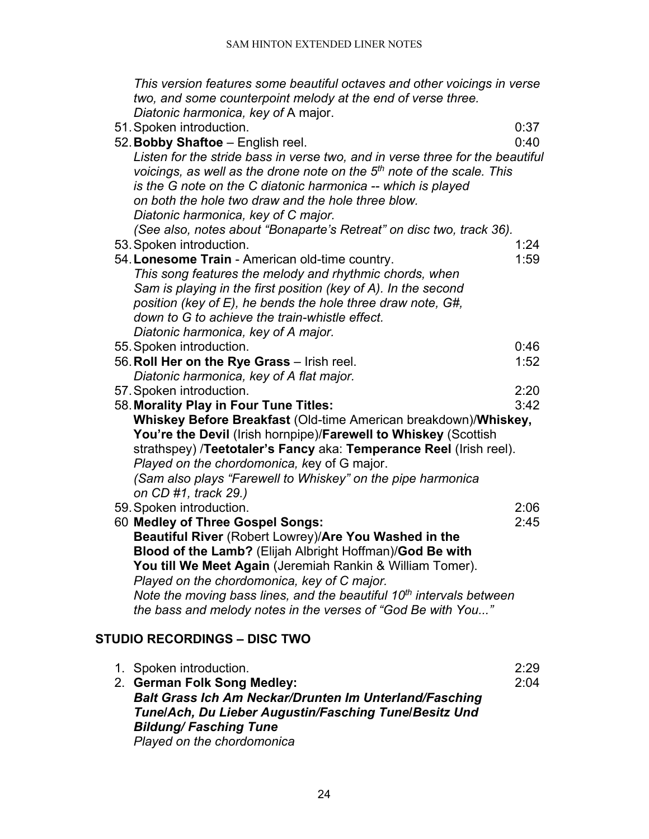*This version features some beautiful octaves and other voicings in verse two, and some counterpoint melody at the end of verse three. Diatonic harmonica, key of* A major.

51.Spoken introduction. 0:37 52.**Bobby Shaftoe** – English reel. 0:40 *Listen for the stride bass in verse two, and in verse three for the beautiful voicings, as well as the drone note on the 5th note of the scale. This is the G note on the C diatonic harmonica -- which is played on both the hole two draw and the hole three blow. Diatonic harmonica, key of C major. (See also, notes about "Bonaparte's Retreat" on disc two, track 36).* 53.Spoken introduction. 1:24 54. Lonesome Train - American old-time country. *This song features the melody and rhythmic chords, when Sam is playing in the first position (key of A). In the second position (key of E), he bends the hole three draw note, G#, down to G to achieve the train-whistle effect. Diatonic harmonica, key of A major.* 55.Spoken introduction. 0:46 56.**Roll Her on the Rye Grass** – Irish reel. 1:52 *Diatonic harmonica, key of A flat major.* 57.Spoken introduction. 2:20 58.**Morality Play in Four Tune Titles:** 3:42 **Whiskey Before Breakfast** (Old-time American breakdown)/**Whiskey, You're the Devil** (Irish hornpipe)/**Farewell to Whiskey** (Scottish strathspey) /**Teetotaler's Fancy** aka: **Temperance Reel** (Irish reel). *Played on the chordomonica, k*ey of G major. *(Sam also plays "Farewell to Whiskey" on the pipe harmonica on CD #1, track 29.)* 59.Spoken introduction. 2:06 60 **Medley of Three Gospel Songs:** 2:45 **Beautiful River** (Robert Lowrey)/**Are You Washed in the Blood of the Lamb?** (Elijah Albright Hoffman)/**God Be with You till We Meet Again** (Jeremiah Rankin & William Tomer). *Played on the chordomonica, key of C major. Note the moving bass lines, and the beautiful 10th intervals between* 

# <span id="page-23-0"></span>**STUDIO RECORDINGS – DISC TWO**

| 1. Spoken introduction.                                       | 2:29 |
|---------------------------------------------------------------|------|
| 2. German Folk Song Medley:                                   | 2:04 |
| <b>Balt Grass Ich Am Neckar/Drunten Im Unterland/Fasching</b> |      |
| Tune/Ach, Du Lieber Augustin/Fasching Tune/Besitz Und         |      |
| <b>Bildung/Fasching Tune</b>                                  |      |
| Played on the chordomonica                                    |      |

*the bass and melody notes in the verses of "God Be with You..."*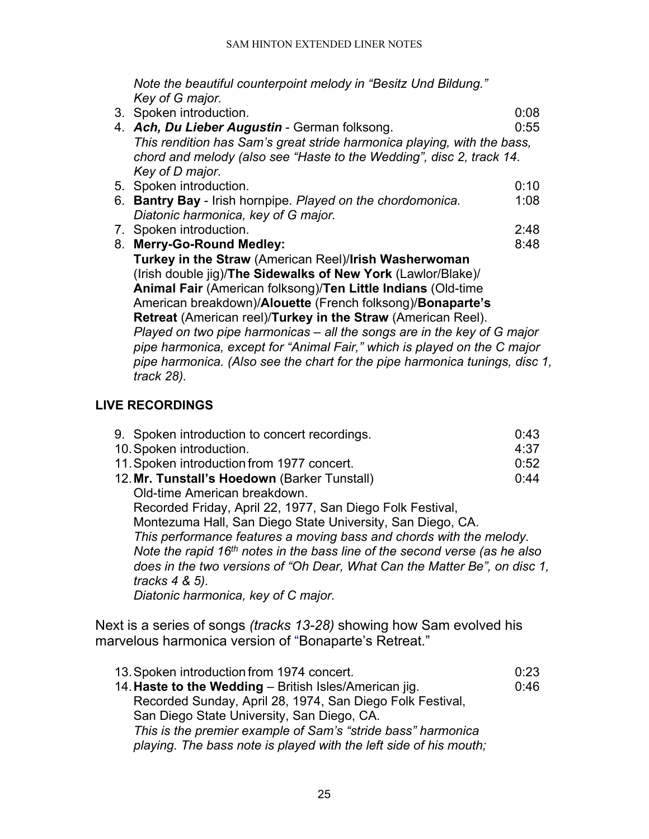*Note the beautiful counterpoint melody in "Besitz Und Bildung." Key of G major.*

| 3. Spoken introduction.                                                                      | 0:08 |
|----------------------------------------------------------------------------------------------|------|
| 4. Ach, Du Lieber Augustin - German folksong.                                                | 0:55 |
| This rendition has Sam's great stride harmonica playing, with the bass,                      |      |
| chord and melody (also see "Haste to the Wedding", disc 2, track 14.                         |      |
| Key of D major.                                                                              |      |
| 5. Spoken introduction.                                                                      | 0:10 |
| 6. Bantry Bay - Irish hornpipe. Played on the chordomonica.                                  | 1:08 |
| Diatonic harmonica, key of G major.                                                          |      |
| 7. Spoken introduction.                                                                      | 2:48 |
| 8. Merry-Go-Round Medley:                                                                    | 8:48 |
| Turkey in the Straw (American Reel)/Irish Washerwoman                                        |      |
| (Irish double jig)/The Sidewalks of New York (Lawlor/Blake)/                                 |      |
| <b>Animal Fair (American folksong)/Ten Little Indians (Old-time</b>                          |      |
| American breakdown)/Alouette (French folksong)/Bonaparte's                                   |      |
| Retreat (American reel)/Turkey in the Straw (American Reel).                                 |      |
| Played on two pipe harmonicas – all the songs are in the key of G major                      |      |
| pipe harmonica, except for "Animal Fair," which is played on the C major                     |      |
| pipe harmonica. (Also see the chart for the pipe harmonica tunings, disc 1,<br>$track 28$ ). |      |

# <span id="page-24-0"></span>**LIVE RECORDINGS**

| 9. Spoken introduction to concert recordings.                              | 0:43 |
|----------------------------------------------------------------------------|------|
| 10. Spoken introduction.                                                   | 4:37 |
| 11. Spoken introduction from 1977 concert.                                 | 0:52 |
| 12. Mr. Tunstall's Hoedown (Barker Tunstall)                               | 0:44 |
| Old-time American breakdown.                                               |      |
| Recorded Friday, April 22, 1977, San Diego Folk Festival,                  |      |
| Montezuma Hall, San Diego State University, San Diego, CA.                 |      |
| This performance features a moving bass and chords with the melody.        |      |
| Note the rapid 16th notes in the bass line of the second verse (as he also |      |
| does in the two versions of "Oh Dear, What Can the Matter Be", on disc 1,  |      |
| tracks $4 \& 5$ ).                                                         |      |
| Diatonic harmonica, key of C major.                                        |      |
|                                                                            |      |

Next is a series of songs *(tracks 13-28)* showing how Sam evolved his marvelous harmonica version of "Bonaparte's Retreat."

| 13. Spoken introduction from 1974 concert.                        | 0:23 |
|-------------------------------------------------------------------|------|
| 14. Haste to the Wedding - British Isles/American jig.            | 0:46 |
| Recorded Sunday, April 28, 1974, San Diego Folk Festival,         |      |
| San Diego State University, San Diego, CA.                        |      |
| This is the premier example of Sam's "stride bass" harmonica      |      |
| playing. The bass note is played with the left side of his mouth; |      |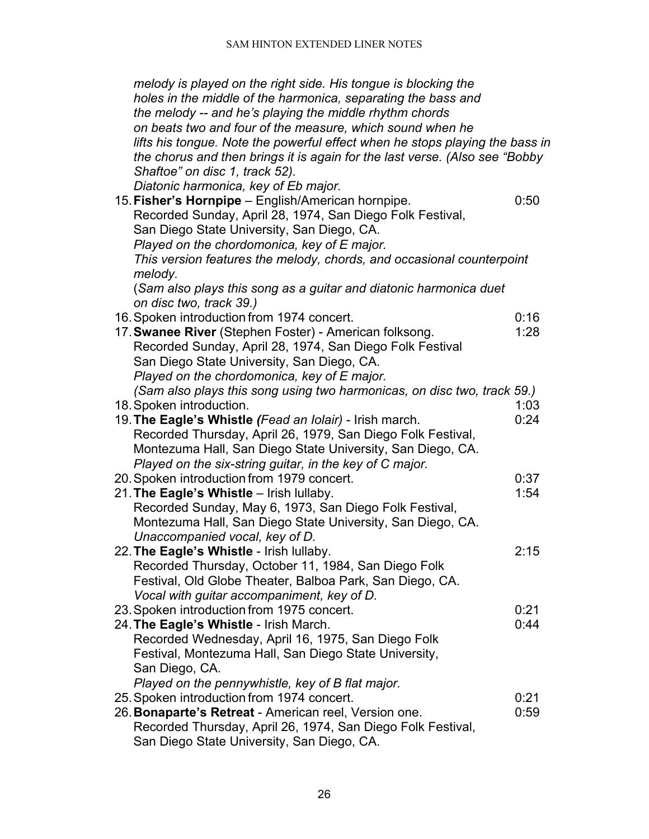| melody is played on the right side. His tongue is blocking the               |      |
|------------------------------------------------------------------------------|------|
| holes in the middle of the harmonica, separating the bass and                |      |
| the melody -- and he's playing the middle rhythm chords                      |      |
| on beats two and four of the measure, which sound when he                    |      |
| lifts his tongue. Note the powerful effect when he stops playing the bass in |      |
|                                                                              |      |
| the chorus and then brings it is again for the last verse. (Also see "Bobby  |      |
| Shaftoe" on disc 1, track 52).                                               |      |
| Diatonic harmonica, key of Eb major.                                         |      |
| 15. Fisher's Hornpipe - English/American hornpipe.                           | 0:50 |
| Recorded Sunday, April 28, 1974, San Diego Folk Festival,                    |      |
| San Diego State University, San Diego, CA.                                   |      |
| Played on the chordomonica, key of E major.                                  |      |
| This version features the melody, chords, and occasional counterpoint        |      |
| melody.                                                                      |      |
| (Sam also plays this song as a guitar and diatonic harmonica duet            |      |
| on disc two, track 39.)                                                      |      |
| 16. Spoken introduction from 1974 concert.                                   | 0:16 |
| 17. Swanee River (Stephen Foster) - American folksong.                       | 1:28 |
| Recorded Sunday, April 28, 1974, San Diego Folk Festival                     |      |
| San Diego State University, San Diego, CA.                                   |      |
| Played on the chordomonica, key of E major.                                  |      |
| (Sam also plays this song using two harmonicas, on disc two, track 59.)      |      |
| 18. Spoken introduction.                                                     | 1:03 |
| 19. The Eagle's Whistle (Fead an Iolair) - Irish march.                      | 0:24 |
| Recorded Thursday, April 26, 1979, San Diego Folk Festival,                  |      |
| Montezuma Hall, San Diego State University, San Diego, CA.                   |      |
| Played on the six-string guitar, in the key of C major.                      |      |
| 20. Spoken introduction from 1979 concert.                                   | 0:37 |
| 21. The Eagle's Whistle - Irish Iullaby.                                     | 1:54 |
| Recorded Sunday, May 6, 1973, San Diego Folk Festival,                       |      |
| Montezuma Hall, San Diego State University, San Diego, CA.                   |      |
| Unaccompanied vocal, key of D.                                               |      |
| 22. The Eagle's Whistle - Irish Iullaby.                                     | 2:15 |
| Recorded Thursday, October 11, 1984, San Diego Folk                          |      |
| Festival, Old Globe Theater, Balboa Park, San Diego, CA.                     |      |
| Vocal with guitar accompaniment, key of D.                                   |      |
| 23. Spoken introduction from 1975 concert.                                   | 0:21 |
| 24. The Eagle's Whistle - Irish March.                                       | 0:44 |
|                                                                              |      |
| Recorded Wednesday, April 16, 1975, San Diego Folk                           |      |
| Festival, Montezuma Hall, San Diego State University,                        |      |
| San Diego, CA.                                                               |      |
| Played on the pennywhistle, key of B flat major.                             |      |
| 25. Spoken introduction from 1974 concert.                                   | 0:21 |
| 26. Bonaparte's Retreat - American reel, Version one.                        | 0:59 |
| Recorded Thursday, April 26, 1974, San Diego Folk Festival,                  |      |
| San Diego State University, San Diego, CA.                                   |      |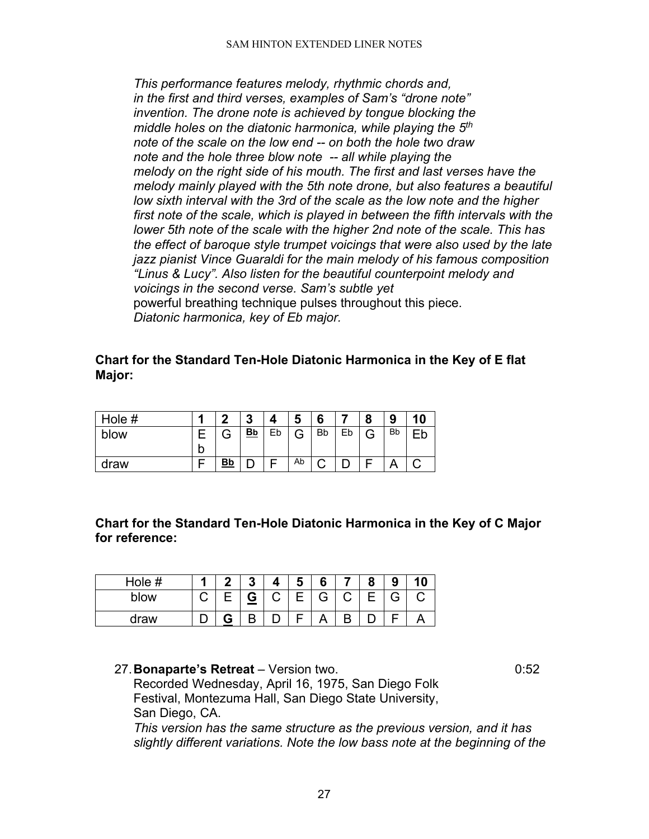*This performance features melody, rhythmic chords and, in the first and third verses, examples of Sam's "drone note" invention. The drone note is achieved by tongue blocking the middle holes on the diatonic harmonica, while playing the 5th note of the scale on the low end -- on both the hole two draw note and the hole three blow note -- all while playing the melody on the right side of his mouth. The first and last verses have the melody mainly played with the 5th note drone, but also features a beautiful low sixth interval with the 3rd of the scale as the low note and the higher first note of the scale, which is played in between the fifth intervals with the lower 5th note of the scale with the higher 2nd note of the scale. This has the effect of baroque style trumpet voicings that were also used by the late jazz pianist Vince Guaraldi for the main melody of his famous composition "Linus & Lucy". Also listen for the beautiful counterpoint melody and voicings in the second verse. Sam's subtle yet*  powerful breathing technique pulses throughout this piece. *Diatonic harmonica, key of Eb major.*

## **Chart for the Standard Ten-Hole Diatonic Harmonica in the Key of E flat Major:**

| Hole # |   | ◠         | ≏<br>v    |    | a      | 6         |    | Ω | Ω<br>J    | 10 |
|--------|---|-----------|-----------|----|--------|-----------|----|---|-----------|----|
| blow   |   |           | <u>Bb</u> | Eb | ⌒<br>ت | <b>Bb</b> | Eb | G | <b>Bb</b> |    |
|        | b |           |           |    |        |           |    |   |           |    |
| draw   |   | <u>Bb</u> |           |    | Ab     |           |    |   |           |    |

**Chart for the Standard Ten-Hole Diatonic Harmonica in the Key of C Major for reference:**

| Hole # | я | - | $\boldsymbol{\Lambda}$ | ► | 6 |   | О | 9 |  |
|--------|---|---|------------------------|---|---|---|---|---|--|
| blow   |   | ⋍ | С                      | F | G | ⌒ | F | Э |  |
| draw   |   | D |                        |   |   |   |   |   |  |

27.**Bonaparte's Retreat** – Version two. 0:52 Recorded Wednesday, April 16, 1975, San Diego Folk Festival, Montezuma Hall, San Diego State University, San Diego, CA.

*This version has the same structure as the previous version, and it has slightly different variations. Note the low bass note at the beginning of the*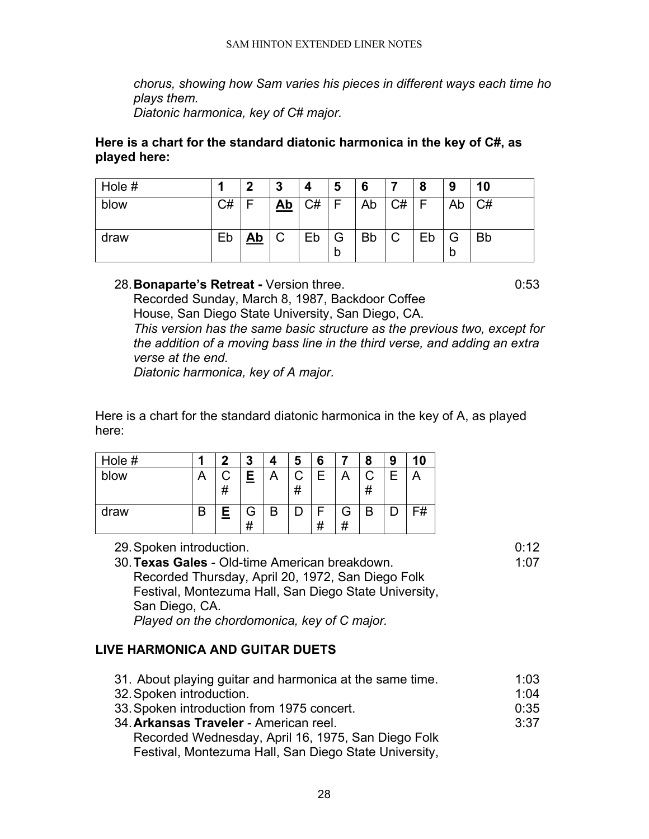*chorus, showing how Sam varies his pieces in different ways each time ho plays them.*

*Diatonic harmonica, key of C# major.*

### **Here is a chart for the standard diatonic harmonica in the key of C#, as played here:**

| Hole # |    | כי        | 3         | 4         | 5      | 6         |        | 8  | 9  | 10        |
|--------|----|-----------|-----------|-----------|--------|-----------|--------|----|----|-----------|
| blow   | C# | F         | <u>Ab</u> | <b>C#</b> |        | Ab        | C#     | F  | Ab | C#        |
| draw   | Eb | <u>Ab</u> | С         | Eb        | G<br>b | <b>Bb</b> | ⌒<br>U | Eb | b  | <b>Bb</b> |

## 28.**Bonaparte's Retreat -** Version three. 0:53

Recorded Sunday, March 8, 1987, Backdoor Coffee House, San Diego State University, San Diego, CA. *This version has the same basic structure as the previous two, except for the addition of a moving bass line in the third verse, and adding an extra verse at the end.*

*Diatonic harmonica, key of A major.* 

Here is a chart for the standard diatonic harmonica in the key of A, as played here:

| Hole # | o      | 3      |   | 5 | 6  |        | 8 | 9 |    |
|--------|--------|--------|---|---|----|--------|---|---|----|
| blow   | #      | E      |   | # | Е  |        | # | Ε |    |
| draw   | E<br>= | G<br># | B |   | 77 | G<br># | B |   | F# |

29.Spoken introduction. 0:12 30. **Texas Gales** - Old-time American breakdown. Recorded Thursday, April 20, 1972, San Diego Folk Festival, Montezuma Hall, San Diego State University, San Diego, CA. *Played on the chordomonica, key of C major.*

# <span id="page-27-0"></span>**LIVE HARMONICA AND GUITAR DUETS**

31. About playing guitar and harmonica at the same time. 1:03 32. Spoken introduction. **1:04** 33.Spoken introduction from 1975 concert. 0:35 34.**Arkansas Traveler** - American reel. 3:37 Recorded Wednesday, April 16, 1975, San Diego Folk Festival, Montezuma Hall, San Diego State University,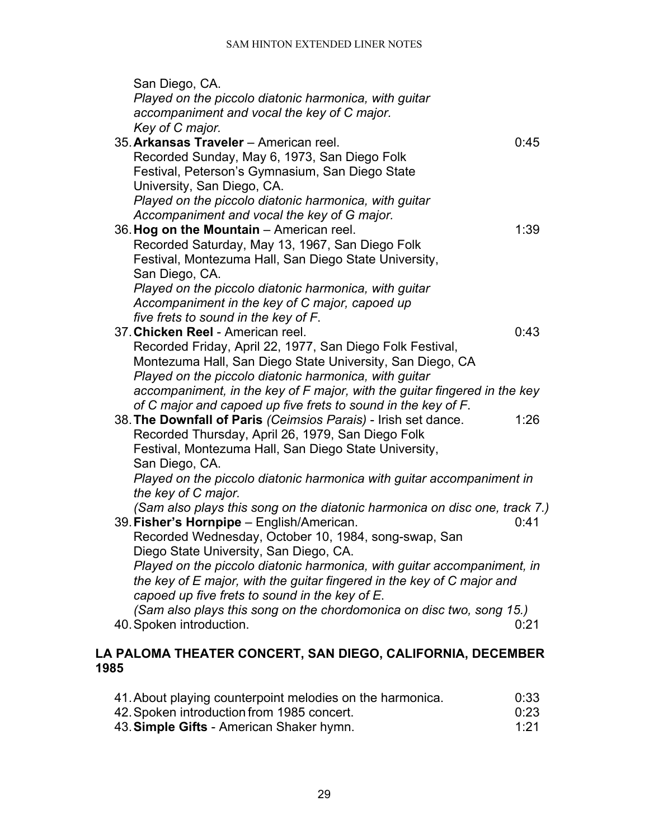| San Diego, CA.                                                                                                           |      |
|--------------------------------------------------------------------------------------------------------------------------|------|
| Played on the piccolo diatonic harmonica, with guitar                                                                    |      |
| accompaniment and vocal the key of C major.                                                                              |      |
| Key of C major.                                                                                                          |      |
| 35. Arkansas Traveler - American reel.                                                                                   | 0:45 |
| Recorded Sunday, May 6, 1973, San Diego Folk                                                                             |      |
| Festival, Peterson's Gymnasium, San Diego State                                                                          |      |
| University, San Diego, CA.                                                                                               |      |
| Played on the piccolo diatonic harmonica, with quitar                                                                    |      |
| Accompaniment and vocal the key of G major.                                                                              |      |
| 36. Hog on the Mountain - American reel.                                                                                 | 1:39 |
| Recorded Saturday, May 13, 1967, San Diego Folk                                                                          |      |
| Festival, Montezuma Hall, San Diego State University,                                                                    |      |
| San Diego, CA.                                                                                                           |      |
| Played on the piccolo diatonic harmonica, with guitar                                                                    |      |
| Accompaniment in the key of C major, capoed up                                                                           |      |
| five frets to sound in the key of F.                                                                                     |      |
| 37. Chicken Reel - American reel.                                                                                        | 0:43 |
| Recorded Friday, April 22, 1977, San Diego Folk Festival,                                                                |      |
| Montezuma Hall, San Diego State University, San Diego, CA                                                                |      |
| Played on the piccolo diatonic harmonica, with quitar                                                                    |      |
| accompaniment, in the key of F major, with the guitar fingered in the key                                                |      |
| of C major and capoed up five frets to sound in the key of F.                                                            |      |
| 38. The Downfall of Paris (Ceimsios Parais) - Irish set dance.                                                           | 1:26 |
| Recorded Thursday, April 26, 1979, San Diego Folk                                                                        |      |
| Festival, Montezuma Hall, San Diego State University,                                                                    |      |
| San Diego, CA.                                                                                                           |      |
| Played on the piccolo diatonic harmonica with guitar accompaniment in                                                    |      |
| the key of C major.                                                                                                      |      |
| (Sam also plays this song on the diatonic harmonica on disc one, track 7.)                                               |      |
| 39. Fisher's Hornpipe - English/American.                                                                                | 0:41 |
| Recorded Wednesday, October 10, 1984, song-swap, San                                                                     |      |
| Diego State University, San Diego, CA.                                                                                   |      |
| Played on the piccolo diatonic harmonica, with guitar accompaniment, in                                                  |      |
| the key of E major, with the guitar fingered in the key of C major and<br>capoed up five frets to sound in the key of E. |      |
| (Sam also plays this song on the chordomonica on disc two, song 15.)                                                     |      |
| 40. Spoken introduction.                                                                                                 | 0:21 |
|                                                                                                                          |      |
|                                                                                                                          |      |

# <span id="page-28-0"></span>**LA PALOMA THEATER CONCERT, SAN DIEGO, CALIFORNIA, DECEMBER 1985**

| 41. About playing counterpoint melodies on the harmonica. | 0:33 |
|-----------------------------------------------------------|------|
| 42. Spoken introduction from 1985 concert.                | 0:23 |
| 43. Simple Gifts - American Shaker hymn.                  | 1:21 |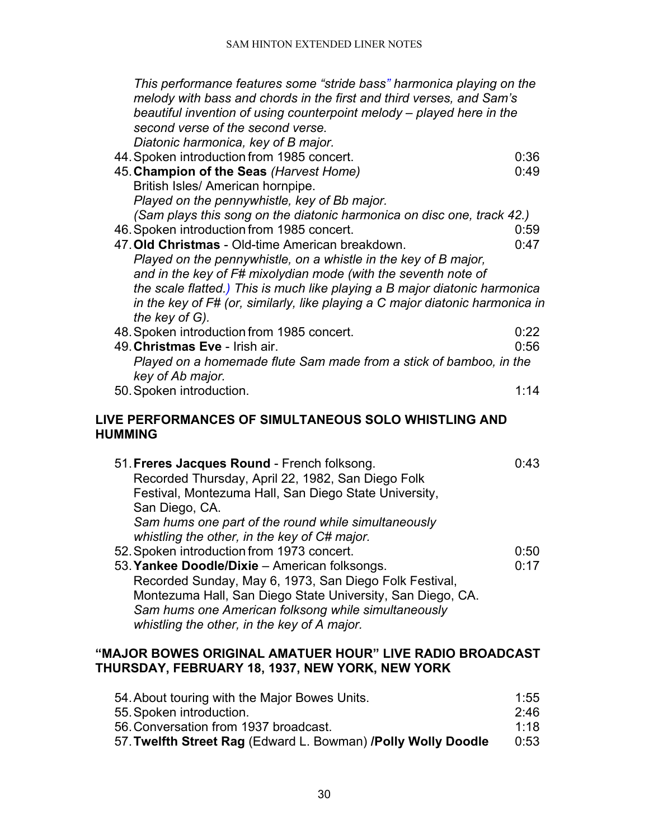| This performance features some "stride bass" harmonica playing on the<br>melody with bass and chords in the first and third verses, and Sam's<br>beautiful invention of using counterpoint melody – played here in the<br>second verse of the second verse.<br>Diatonic harmonica, key of B major. |              |
|----------------------------------------------------------------------------------------------------------------------------------------------------------------------------------------------------------------------------------------------------------------------------------------------------|--------------|
| 44. Spoken introduction from 1985 concert.                                                                                                                                                                                                                                                         | 0:36         |
| 45. Champion of the Seas (Harvest Home)                                                                                                                                                                                                                                                            | 0:49         |
| British Isles/ American hornpipe.                                                                                                                                                                                                                                                                  |              |
| Played on the pennywhistle, key of Bb major.                                                                                                                                                                                                                                                       |              |
| (Sam plays this song on the diatonic harmonica on disc one, track 42.)                                                                                                                                                                                                                             |              |
| 46. Spoken introduction from 1985 concert.<br>47. Old Christmas - Old-time American breakdown.                                                                                                                                                                                                     | 0:59<br>0:47 |
| Played on the pennywhistle, on a whistle in the key of B major,                                                                                                                                                                                                                                    |              |
| and in the key of F# mixolydian mode (with the seventh note of                                                                                                                                                                                                                                     |              |
| the scale flatted.) This is much like playing a B major diatonic harmonica                                                                                                                                                                                                                         |              |
| in the key of F# (or, similarly, like playing a C major diatonic harmonica in                                                                                                                                                                                                                      |              |
| the key of G).                                                                                                                                                                                                                                                                                     |              |
| 48. Spoken introduction from 1985 concert.<br>49. Christmas Eve - Irish air.                                                                                                                                                                                                                       | 0:22<br>0:56 |
| Played on a homemade flute Sam made from a stick of bamboo, in the                                                                                                                                                                                                                                 |              |
| key of Ab major.                                                                                                                                                                                                                                                                                   |              |
| 50. Spoken introduction.                                                                                                                                                                                                                                                                           | 1:14         |
|                                                                                                                                                                                                                                                                                                    |              |
| LIVE PERFORMANCES OF SIMULTANEOUS SOLO WHISTLING AND<br><b>HUMMING</b>                                                                                                                                                                                                                             |              |
|                                                                                                                                                                                                                                                                                                    |              |
| 51. Freres Jacques Round - French folksong.                                                                                                                                                                                                                                                        | 0:43         |
| Recorded Thursday, April 22, 1982, San Diego Folk                                                                                                                                                                                                                                                  |              |
| Festival, Montezuma Hall, San Diego State University,                                                                                                                                                                                                                                              |              |
| San Diego, CA.                                                                                                                                                                                                                                                                                     |              |
| Sam hums one part of the round while simultaneously                                                                                                                                                                                                                                                |              |
| whistling the other, in the key of C# major.<br>52. Spoken introduction from 1973 concert.                                                                                                                                                                                                         | 0:50         |
| 53. Yankee Doodle/Dixie - American folksongs.                                                                                                                                                                                                                                                      | 0:17         |
| Recorded Sunday, May 6, 1973, San Diego Folk Festival,                                                                                                                                                                                                                                             |              |
| Montezuma Hall, San Diego State University, San Diego, CA.                                                                                                                                                                                                                                         |              |
| Sam hums one American folksong while simultaneously                                                                                                                                                                                                                                                |              |
| whistling the other, in the key of A major.                                                                                                                                                                                                                                                        |              |
| "MAJOR BOWES ORIGINAL AMATUER HOUR" LIVE RADIO BROADCAST                                                                                                                                                                                                                                           |              |

# <span id="page-29-1"></span><span id="page-29-0"></span>**THURSDAY, FEBRUARY 18, 1937, NEW YORK, NEW YORK**

| 54. About touring with the Major Bowes Units.                 | 1:55 |
|---------------------------------------------------------------|------|
| 55. Spoken introduction.                                      | 2:46 |
| 56. Conversation from 1937 broadcast.                         | 1.18 |
| 57. Twelfth Street Rag (Edward L. Bowman) /Polly Wolly Doodle | 0:53 |
|                                                               |      |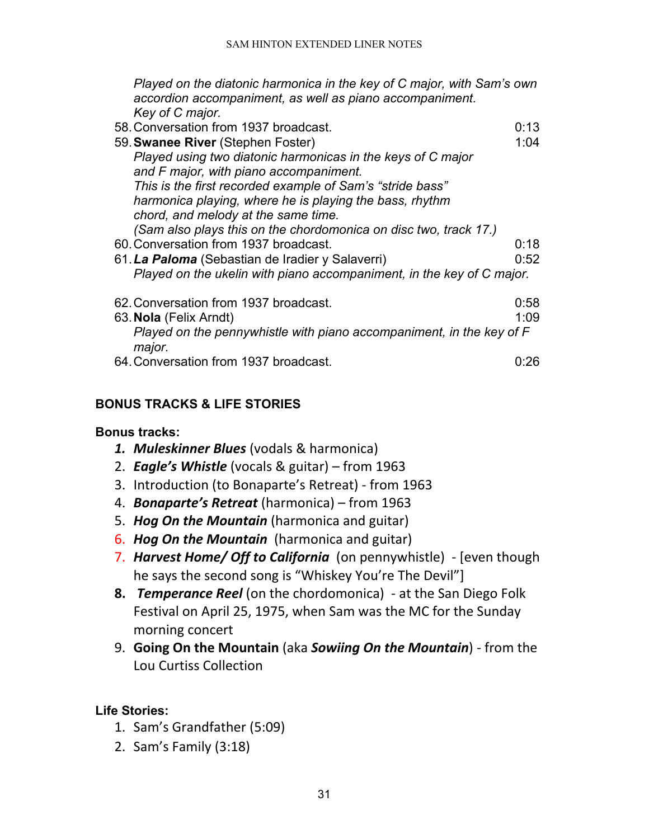*Played on the diatonic harmonica in the key of C major, with Sam's own accordion accompaniment, as well as piano accompaniment. Key of C major.*

- 58.Conversation from 1937 broadcast. 0:13 59.**Swanee River** (Stephen Foster) 1:04 *Played using two diatonic harmonicas in the keys of C major and F major, with piano accompaniment. This is the first recorded example of Sam's "stride bass" harmonica playing, where he is playing the bass, rhythm chord, and melody at the same time. (Sam also plays this on the chordomonica on disc two, track 17.)* 60.Conversation from 1937 broadcast. 0:18 61.*La Paloma* (Sebastian de Iradier y Salaverri) 0:52 *Played on the ukelin with piano accompaniment, in the key of C major.* 62.Conversation from 1937 broadcast. 0:58 63.**Nola** (Felix Arndt) 1:09
- *Played on the pennywhistle with piano accompaniment, in the key of F major.*  64.Conversation from 1937 broadcast. 0:26

# <span id="page-30-0"></span>**BONUS TRACKS & LIFE STORIES**

# **Bonus tracks:**

- *1. Muleskinner Blues* (vodals & harmonica)
- 2. *Eagle's Whistle* (vocals & guitar) from 1963
- 3. Introduction (to Bonaparte's Retreat) from 1963
- 4. *Bonaparte's Retreat* (harmonica) from 1963
- 5. *Hog On the Mountain* (harmonica and guitar)
- **6. Hog On the Mountain** (harmonica and guitar)
- 7. *Harvest Home/ Off to California* (on pennywhistle) [even though he says the second song is "Whiskey You're The Devil"]
- **8.** *Temperance Reel* (on the chordomonica) at the San Diego Folk Festival on April 25, 1975, when Sam was the MC for the Sunday morning concert
- 9. **Going On the Mountain** (aka *Sowiing On the Mountain*) from the Lou Curtiss Collection

# **Life Stories:**

- 1. Sam's Grandfather (5:09)
- 2. Sam's Family (3:18)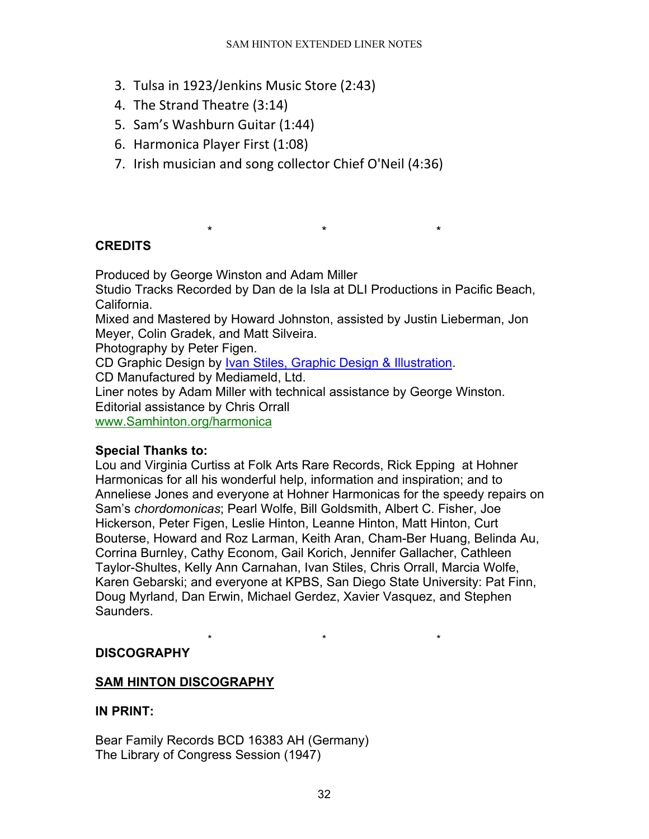- 3. Tulsa in 1923/Jenkins Music Store (2:43)
- 4. The Strand Theatre (3:14)
- 5. Sam's Washburn Guitar (1:44)
- 6. Harmonica Player First (1:08)
- 7. Irish musician and song collector Chief O'Neil (4:36)

# <span id="page-31-0"></span>**CREDITS**

Produced by George Winston and Adam Miller

Studio Tracks Recorded by Dan de la Isla at DLI Productions in Pacific Beach, California.

\* \* \*

Mixed and Mastered by Howard Johnston, assisted by Justin Lieberman, Jon Meyer, Colin Gradek, and Matt Silveira.

Photography by Peter Figen.

CD Graphic Design by [Ivan Stiles, Graphic Design & Illustration.](http://www.ivanstiles.com/)

CD Manufactured by Mediameld, Ltd.

Liner notes by Adam Miller with technical assistance by George Winston. Editorial assistance by Chris Orrall

[www.Samhinton.org/harmonica](http://www.samhinton.org/harmonica)

# **Special Thanks to:**

Lou and Virginia Curtiss at Folk Arts Rare Records, Rick Epping at Hohner Harmonicas for all his wonderful help, information and inspiration; and to Anneliese Jones and everyone at Hohner Harmonicas for the speedy repairs on Sam's *chordomonicas*; Pearl Wolfe, Bill Goldsmith, Albert C. Fisher, Joe Hickerson, Peter Figen, Leslie Hinton, Leanne Hinton, Matt Hinton, Curt Bouterse, Howard and Roz Larman, Keith Aran, Cham-Ber Huang, Belinda Au, Corrina Burnley, Cathy Econom, Gail Korich, Jennifer Gallacher, Cathleen Taylor-Shultes, Kelly Ann Carnahan, Ivan Stiles, Chris Orrall, Marcia Wolfe, Karen Gebarski; and everyone at KPBS, San Diego State University: Pat Finn, Doug Myrland, Dan Erwin, Michael Gerdez, Xavier Vasquez, and Stephen Saunders.

\* \* \*

# <span id="page-31-1"></span>**DISCOGRAPHY**

# **SAM HINTON DISCOGRAPHY**

# **IN PRINT:**

Bear Family Records BCD 16383 AH (Germany) The Library of Congress Session (1947)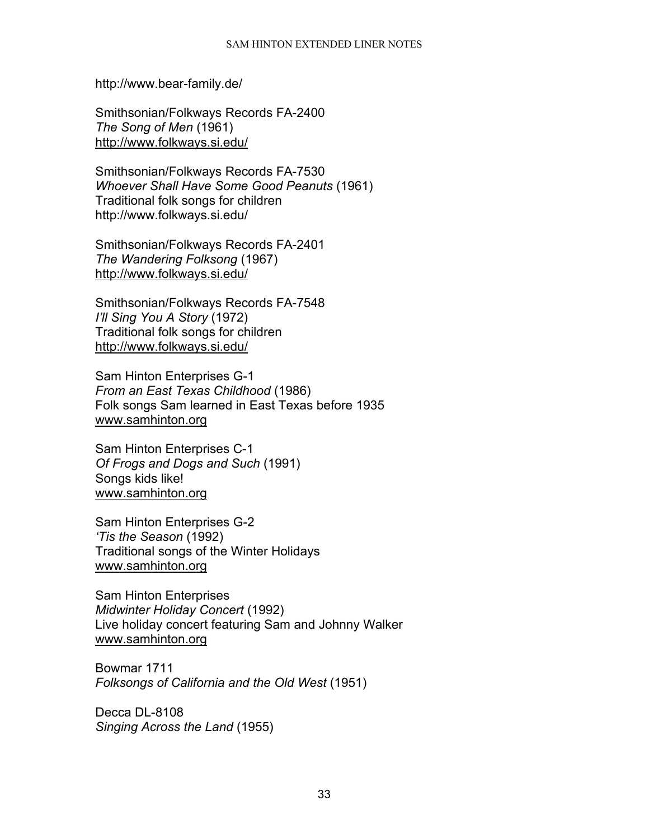#### SAM HINTON EXTENDED LINER NOTES

http://www.bear-family.de/

Smithsonian/Folkways Records FA-2400 *The Song of Men* (1961) <http://www.folkways.si.edu/>

Smithsonian/Folkways Records FA-7530 *Whoever Shall Have Some Good Peanuts* (1961) Traditional folk songs for children http://www.folkways.si.edu/

Smithsonian/Folkways Records FA-2401 *The Wandering Folksong* (1967) <http://www.folkways.si.edu/>

Smithsonian/Folkways Records FA-7548 *I'll Sing You A Story* (1972) Traditional folk songs for children <http://www.folkways.si.edu/>

Sam Hinton Enterprises G-1 *From an East Texas Childhood* (1986) Folk songs Sam learned in East Texas before 1935 [www.samhinton.org](http://www.samhinton.org/)

Sam Hinton Enterprises C-1 *Of Frogs and Dogs and Such* (1991) Songs kids like! [www.samhinton.org](http://www.samhinton.org/)

Sam Hinton Enterprises G-2 *'Tis the Season* (1992) Traditional songs of the Winter Holidays [www.samhinton.org](http://www.samhinton.org/)

Sam Hinton Enterprises *Midwinter Holiday Concert* (1992) Live holiday concert featuring Sam and Johnny Walker [www.samhinton.org](http://www.samhinton.org/)

Bowmar 1711 *Folksongs of California and the Old West* (1951)

Decca DL-8108 *Singing Across the Land* (1955)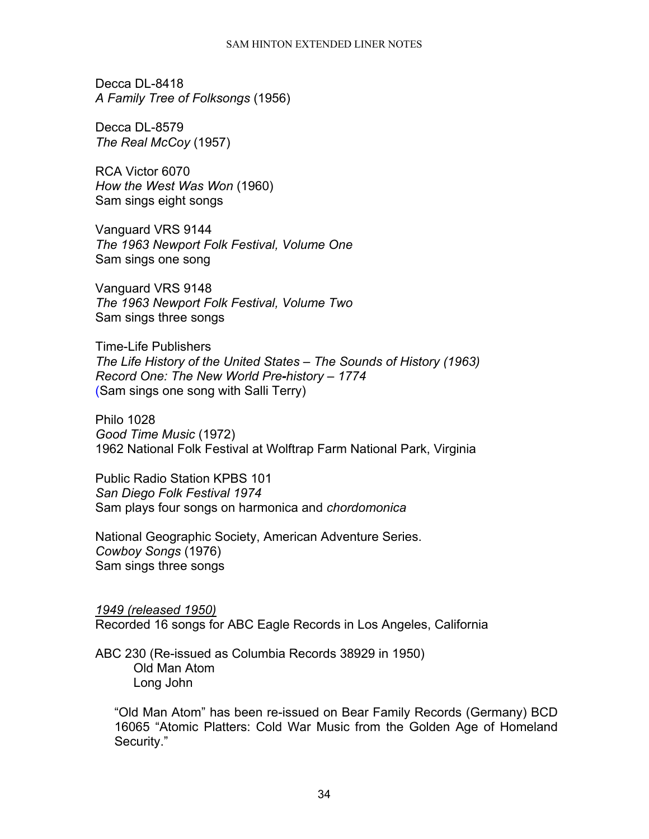Decca DL-8418 *A Family Tree of Folksongs* (1956)

Decca DL-8579 *The Real McCoy* (1957)

RCA Victor 6070 *How the West Was Won* (1960) Sam sings eight songs

Vanguard VRS 9144 *The 1963 Newport Folk Festival, Volume One* Sam sings one song

Vanguard VRS 9148 *The 1963 Newport Folk Festival, Volume Two* Sam sings three songs

Time-Life Publishers *The Life History of the United States – The Sounds of History (1963) Record One: The New World Pre-history – 1774* (Sam sings one song with Salli Terry)

Philo 1028 *Good Time Music* (1972) 1962 National Folk Festival at Wolftrap Farm National Park, Virginia

Public Radio Station KPBS 101 *San Diego Folk Festival 1974* Sam plays four songs on harmonica and *chordomonica*

National Geographic Society, American Adventure Series. *Cowboy Songs* (1976) Sam sings three songs

*1949 (released 1950)* Recorded 16 songs for ABC Eagle Records in Los Angeles, California

ABC 230 (Re-issued as Columbia Records 38929 in 1950) Old Man Atom Long John

"Old Man Atom" has been re-issued on Bear Family Records (Germany) BCD 16065 "Atomic Platters: Cold War Music from the Golden Age of Homeland Security."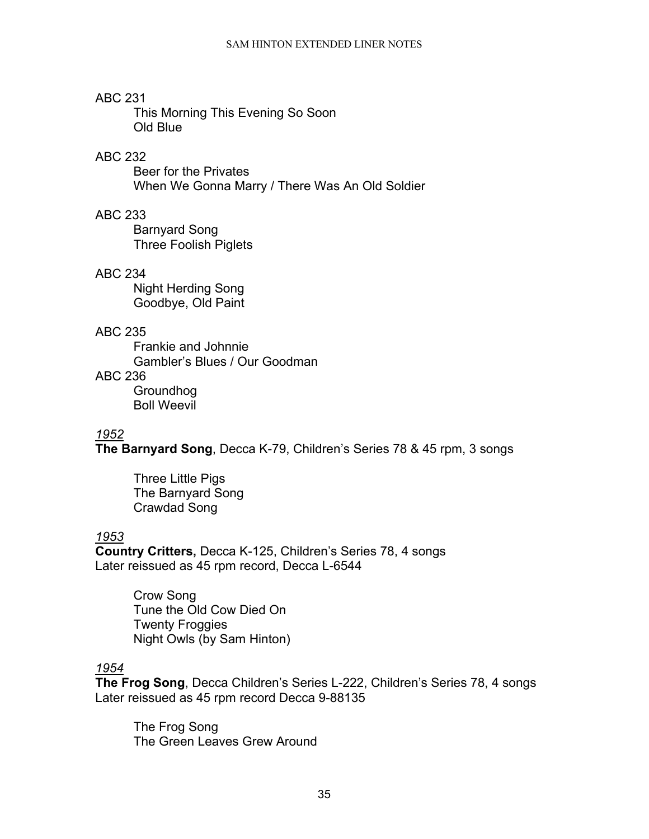# ABC 231

This Morning This Evening So Soon Old Blue

## ABC 232

Beer for the Privates When We Gonna Marry / There Was An Old Soldier

## ABC 233

Barnyard Song Three Foolish Piglets

## ABC 234

Night Herding Song Goodbye, Old Paint

## ABC 235

Frankie and Johnnie Gambler's Blues / Our Goodman

# ABC 236

Groundhog Boll Weevil

### *1952*

**The Barnyard Song**, Decca K-79, Children's Series 78 & 45 rpm, 3 songs

Three Little Pigs The Barnyard Song Crawdad Song

# *1953*

**Country Critters,** Decca K-125, Children's Series 78, 4 songs Later reissued as 45 rpm record, Decca L-6544

> Crow Song Tune the Old Cow Died On Twenty Froggies Night Owls (by Sam Hinton)

# *1954*

**The Frog Song**, Decca Children's Series L-222, Children's Series 78, 4 songs Later reissued as 45 rpm record Decca 9-88135

The Frog Song The Green Leaves Grew Around